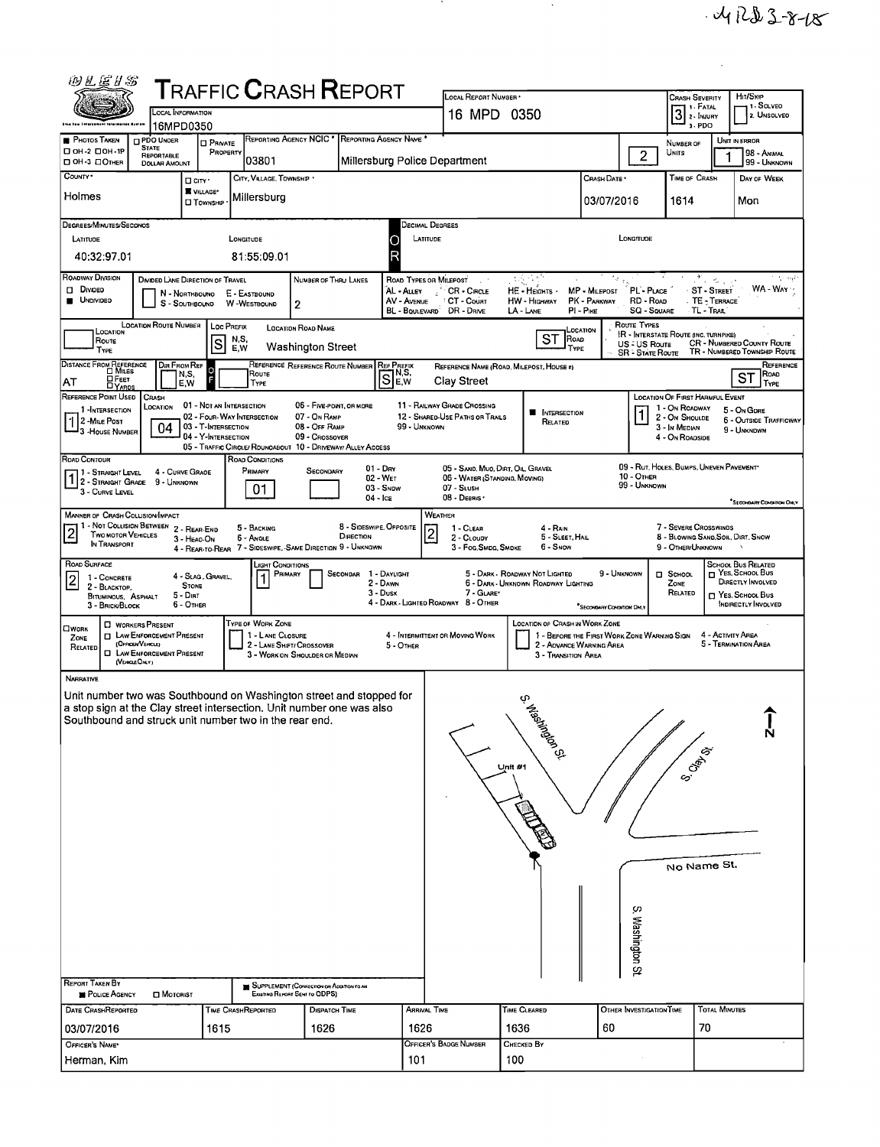| 的汇运扩新                                                                                                                                                                                                                                                                                                                                                                                                                                                                                                                                                                                                                                          |                                                            |                                                                                                      | <b>TRAFFIC CRASH REPORT</b>                                                                                                                |                                                                              |                                                                                                 |                                                                                                                                         |                                                      |                                                                |                                                                                                         |                                                                                                                      |  |  |  |  |
|------------------------------------------------------------------------------------------------------------------------------------------------------------------------------------------------------------------------------------------------------------------------------------------------------------------------------------------------------------------------------------------------------------------------------------------------------------------------------------------------------------------------------------------------------------------------------------------------------------------------------------------------|------------------------------------------------------------|------------------------------------------------------------------------------------------------------|--------------------------------------------------------------------------------------------------------------------------------------------|------------------------------------------------------------------------------|-------------------------------------------------------------------------------------------------|-----------------------------------------------------------------------------------------------------------------------------------------|------------------------------------------------------|----------------------------------------------------------------|---------------------------------------------------------------------------------------------------------|----------------------------------------------------------------------------------------------------------------------|--|--|--|--|
| Shia taw Intercoment totarmation Ayotam                                                                                                                                                                                                                                                                                                                                                                                                                                                                                                                                                                                                        | <b>LOCAL INFORMATION</b><br>16MPD0350                      |                                                                                                      |                                                                                                                                            |                                                                              | LOCAL REPORT NUMBER<br>16 MPD 0350                                                              |                                                                                                                                         |                                                      |                                                                | <b>CRASH SEVERITY</b><br>B PATAL<br>3. PDO                                                              | Hn/Sxie<br>- 1 SOLVEO<br>2. UNSOLVEO                                                                                 |  |  |  |  |
| <b>PHOTOS TAKEN</b><br><b>DPDO UNOER</b><br><b>STATE</b><br>□ ОН-2 □ ОН-1Р<br>REPORTABLE                                                                                                                                                                                                                                                                                                                                                                                                                                                                                                                                                       |                                                            | <b>D</b> PRIVATE<br>PROPERTY                                                                         | REPORTING AGENCY NCIC * REPORTING AGENCY NAME *                                                                                            |                                                                              |                                                                                                 |                                                                                                                                         |                                                      | $\overline{2}$                                                 | NUMBER OF<br>UNITS                                                                                      | UNIT IN ERROR<br>98 - ANIMAL<br>1                                                                                    |  |  |  |  |
| OH-3 OOTHER<br>COUNTY *                                                                                                                                                                                                                                                                                                                                                                                                                                                                                                                                                                                                                        | <b>DOLLAR AMOUNT</b><br>D CITY'                            | 03801<br>CITY, VILLAGE, TOWNSHIP .                                                                   |                                                                                                                                            | Millersburg Police Department                                                |                                                                                                 |                                                                                                                                         | Сrash Date •                                         |                                                                | TIME OF CRASH                                                                                           | 99 - UNKNOWN<br>DAY OF WEEK                                                                                          |  |  |  |  |
| Holmes                                                                                                                                                                                                                                                                                                                                                                                                                                                                                                                                                                                                                                         | VILLAGE*<br><b>O</b> TOWNSHIP                              | Millersburg                                                                                          |                                                                                                                                            |                                                                              |                                                                                                 |                                                                                                                                         | 03/07/2016                                           |                                                                | 1614                                                                                                    | Mon                                                                                                                  |  |  |  |  |
| <b>DEGREES/MINUTES/SECONOS</b><br>LATITUDE                                                                                                                                                                                                                                                                                                                                                                                                                                                                                                                                                                                                     |                                                            | LONGITUDE                                                                                            |                                                                                                                                            | О                                                                            | Decimal Degrees<br>LONGITUDE<br>LATITUDE                                                        |                                                                                                                                         |                                                      |                                                                |                                                                                                         |                                                                                                                      |  |  |  |  |
| 40:32:97.01<br>ROADWAY DIVISION                                                                                                                                                                                                                                                                                                                                                                                                                                                                                                                                                                                                                | DIVIDED LANE DIRECTION OF TRAVEL                           | 81:55:09.01                                                                                          | NUMBER OF THRU LANES                                                                                                                       | R<br>ROAD TYPES OR MILEPOST                                                  | - 100                                                                                           | 사람주<br>$\sim$                                                                                                                           |                                                      |                                                                | ೆಗೆ ಸಂಸ್ಕೃತಿ                                                                                            | الهجاج                                                                                                               |  |  |  |  |
| <b>DI DIVIDED</b><br><b>UNDIVIDED</b>                                                                                                                                                                                                                                                                                                                                                                                                                                                                                                                                                                                                          | N - NORTHBOUND<br>S - SOUTHBOUND                           | E - EASTBOUND<br>W-WESTBOUND                                                                         | $\overline{2}$                                                                                                                             | AL - Auer<br>AV - AVENUE<br>BL - BOULEVARD                                   | CR - CIRCLE<br>CT - Court<br>DR - DRME                                                          | HE - HEIGHTS -<br><b>HW - HIGHWAY</b><br>LA - LANE                                                                                      | MP - MILEPOST<br>PK - PARKWAY<br>$PI - P$ IKE        | PL - PLACE<br>RD - ROAD<br><b>SQ - SOUARE</b>                  | ST-STREET<br>TE - TERRACE<br>· TL - Trae                                                                | WA - WAY                                                                                                             |  |  |  |  |
| <b>LOCATION ROUTE NUMBER</b><br>LOCATION<br>Route<br>TYPE                                                                                                                                                                                                                                                                                                                                                                                                                                                                                                                                                                                      |                                                            | Loc PREFIX<br>N,S<br>lS<br>E,W                                                                       | <b>LOCATION ROAD NAME</b><br>Washington Street                                                                                             |                                                                              |                                                                                                 | <b>ST</b><br>ROAD<br>TYPE                                                                                                               | LOCATION                                             | <b>ROUTE TYPES</b><br>US - US Route<br><b>SR - STATE ROUTE</b> | IR - INTERSTATE ROUTE (INC. TURNPIKE)                                                                   | CR - NUMBERED COUNTY ROUTE<br>TR - NUMBERED TOWNSHIP ROUTE                                                           |  |  |  |  |
| DISTANCE FROM REFERENCE<br><b>HEET</b><br>AT                                                                                                                                                                                                                                                                                                                                                                                                                                                                                                                                                                                                   | DIR FROM REF<br>N,S,<br>F<br>E,W                           | О<br>Route<br>TYPE                                                                                   | REFERENCE REFERENCE ROUTE NUMBER                                                                                                           | <b>REF PREFIX</b><br>$ \overline{S} _{E}^{N,S}$                              | Clay Street                                                                                     | REFERENCE NAME (ROAD, MILEPOST, HOUSE #)                                                                                                |                                                      |                                                                |                                                                                                         | REFERENCE<br>ROAD<br>ST<br>TYPE                                                                                      |  |  |  |  |
| REFERENCE POINT USED<br>CRASH<br>LOCATION<br>1-INTERSECTION<br>$  \cdot   2 -$ Mue Post<br>3 - House Number                                                                                                                                                                                                                                                                                                                                                                                                                                                                                                                                    | 04                                                         | 01 - NOT AN INTERSECTION<br>02 - FOUR-WAY INTERSECTION<br>03 - T-INTERSECTION<br>04 - Y-INTERSECTION | 06 - FIVE-POINT, OR MORE<br>07 - On RAMP<br>08 - Off RAMP<br>09 - Crossover<br>05 - TRAFFIC CIRCLE/ ROUNOABOUT 10 - DRIVEWAY/ ALLEY ACCESS | 99 - UNKNOWN                                                                 | 11 - RAILWAY GRADE CROSSING<br>12 - SHARED-USE PATHS OR TRAILS                                  | <b>NITERSECTION</b><br>RELATED                                                                                                          |                                                      |                                                                | LOCATION OF FIRST HARMFUL EVENT<br>1 - On Roadway<br>2 - On Shoulde<br>3 - In Median<br>4 - On ROADSIDE | 5 - On GDRE<br><b>6 - OUTSIDE TRAFFICWAY</b><br>9 - UNKNDWN                                                          |  |  |  |  |
| ROAD CONTOUR<br>1 - STRAIGHT LEVEL<br>$\begin{bmatrix} 1 & 2 \end{bmatrix}$ - STRAIGHT GRADE<br>3 - CURVE LEVEL                                                                                                                                                                                                                                                                                                                                                                                                                                                                                                                                | 4 - CURVE GRADE<br>9 - Unknown                             | ROAD CONDITIONS<br>PRIMARY<br>01.                                                                    | Secondary                                                                                                                                  | $01 - \text{Dry}$<br>02 - WET<br>03 - SNDW<br>$04 -$ Ica                     | 05 - SAND, MUO, DIRT, OIL, GRAVEL<br>05 - WATER (STANDING, MOVING)<br>07 - SLUSH<br>08 - DEBRIS |                                                                                                                                         |                                                      | 10 - Отнея<br>99 - UNKNOWN                                     | 09 - RUT, HOLES, BUMPS, UNEVEN PAVEMENT*                                                                | "SECONDARY CONDITION ONLY                                                                                            |  |  |  |  |
| <b>MANNER OF CRASH COLLISION/IMPACT</b><br>1 - NOT COLLISION BETWEEN 2 - REAR-END<br>$\overline{2}$<br>TWO MOTOR VEHICLES<br>IN TRANSPORT                                                                                                                                                                                                                                                                                                                                                                                                                                                                                                      | 3 - HEAD-ON                                                | 5 - BACKING<br><b>6 - ANGLE</b>                                                                      | DIRECTION<br>4 - REAR-TO-REAR 7 - SIDESWIPE, SAME DIRECTION 9 - UNKNOWN                                                                    | WEATHER<br>8 - SIDESWIPE, OPPOSITE<br>$\overline{2}$                         | 1 - CLEAR<br>2 - CLOUDY<br>3 - Fog. Smdg. Smdke                                                 | 4 - RAIN<br>5 - SLEET, HAIL<br>6 - Snow                                                                                                 |                                                      |                                                                | 7 - SEVERE CROSSWINDS<br>8 - BLOWING SAND, SOIL, DIRT, SNOW<br>9 - OTHER/UNKNOWN                        |                                                                                                                      |  |  |  |  |
| ROAD SURFACE<br>1 - CONCRETE<br>2<br>2 - BLACKTOP.<br><b>BITUMINOUS, ASPHALT</b><br>3 - BRICK/BLOCK                                                                                                                                                                                                                                                                                                                                                                                                                                                                                                                                            | 4 - SLAG, GRAVEL,<br><b>STONE</b><br>5 - Dirt<br>6 - OTHER | Light Conditions<br>PRIMARY                                                                          | Secondar                                                                                                                                   | 1 - DAYLIGHT<br>2 - DAWN<br>3 - Dusk<br>4 - DARK - LIGHTED ROADWAY 8 - OTHER | 7 - GLARE'                                                                                      | 5 - DARK - ROADWAY NOT LIGHTED<br>6 - DARK - UNKNOWN ROADWAY LIGHTING                                                                   | 9 - UNKNOWN<br><sup>*</sup> SECONDARY CONDITION ONLY |                                                                | <b>D</b> SCHOOL<br>ZONE<br>RELATED                                                                      | <b>SCHOOL BUS RELATED</b><br>NES, SCHOOL BUS<br>DIRECTLY INVOLVED<br>T YES, SCHOOL BUS<br><b>INDIRECTLY INVOLVED</b> |  |  |  |  |
| <b>D</b> WORKERS PRESENT<br>OWORK<br><b>D</b> LAW ENFORCEMENT PRESENT<br>ZONE<br>(OFFICER/VERICLE)<br>RELATED<br>D LAW ENFORCEMENT PRESENT<br>(VEHOLEOALY)                                                                                                                                                                                                                                                                                                                                                                                                                                                                                     |                                                            | <b>TYPE OF WORK ZONE</b><br>1 - LANE CLOSURE                                                         | 2 - LANE SHIFT/ CROSSOVER<br>3 - WORK ON SHOULDER OR MEDIAN                                                                                | 4 - INTERMITTENT OR MOVING WORK<br>5 - OTHER                                 |                                                                                                 | <b>LOCATION OF CRASH IN WORK ZONE</b><br>1 - BEFORE THE FIRST WORK ZONE WARNING SIGN<br>2 - AOVANCE WARNING AREA<br>3 - Transition Area |                                                      |                                                                |                                                                                                         | 4 - Activity Area<br>5 - TERMINATION AREA                                                                            |  |  |  |  |
| NARRATIVE<br>Unit number two was Southbound on Washington street and stopped for<br><sup>5</sup> , Ma <sup>singdo</sup> 3.<br>a stop sign at the Clay street intersection. Unit number one was also<br>Southbound and struck unit number two in the rear end.<br><b>S. Crab</b> y Br<br>Unit #1<br>No Name St.<br>S. Washington St<br><b>REPORT TAKEN BY</b><br>SUPPLEMENT (CORRECTION OF ADDITION TO AN<br><b>D</b> MOTORIST<br><b>POLICE AGENCY</b><br>EXISTING REPORT SENT TO ODPS)<br><b>TOTAL MINUTES</b><br>TIME CLEARED<br>OTHER INVESTIGATION TIME<br>DATE CRASHREPORTED<br>TIME CRASHREPORTED<br><b>DISPATCH TIME</b><br>ARRIVAL TIME |                                                            |                                                                                                      |                                                                                                                                            |                                                                              |                                                                                                 |                                                                                                                                         |                                                      |                                                                |                                                                                                         |                                                                                                                      |  |  |  |  |
| 03/07/2016                                                                                                                                                                                                                                                                                                                                                                                                                                                                                                                                                                                                                                     |                                                            | 1615                                                                                                 | 1626                                                                                                                                       | 1626                                                                         |                                                                                                 | 1636                                                                                                                                    | 60                                                   |                                                                | 70                                                                                                      |                                                                                                                      |  |  |  |  |
| OFFICER'S NAME*<br>Herman, Kim                                                                                                                                                                                                                                                                                                                                                                                                                                                                                                                                                                                                                 |                                                            |                                                                                                      |                                                                                                                                            | 101                                                                          | Officer's Badge Number                                                                          | Снескер Ву<br>100                                                                                                                       |                                                      |                                                                |                                                                                                         |                                                                                                                      |  |  |  |  |

and the

 $\mathcal{L}_{\text{max}}$  ,  $\mathcal{L}_{\text{max}}$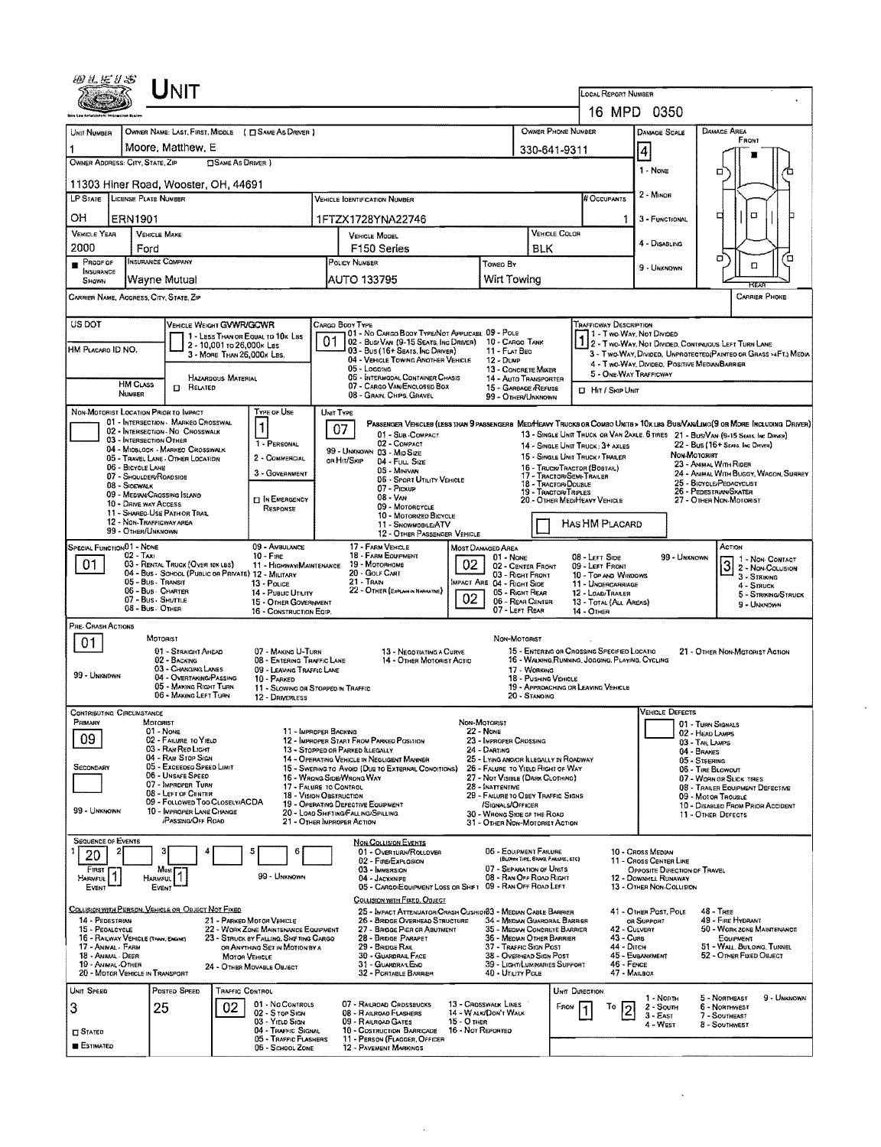| LOCAL REPORT NUMBER<br>16 MPD 0350<br>OWNER PHONE NUMBER<br>OWNER NAME: LAST, FIRST, MIDDLE ( C) SAME AS DRIVER )<br>DAMAGE AREA<br>UNIT NUMBER<br><b>DAMAGE SCALE</b><br>FRONT<br>Moore, Matthew, E<br>1<br>330-641-9311<br>4<br>OWNER ADDRESS: CITY, STATE, ZIP<br><b>CISAME AS DRIVER</b> )<br>1 - None<br>□<br>11303 Hiner Road, Wooster, OH, 44691<br>2 - MINOR<br>LP STATE LICENSE PLATE NUMBER<br># Occupants<br><b>VEHICLE IDENTIFICATION NUMBER</b><br>α<br>□<br>OН<br><b>ERN1901</b><br>1FTZX1728YNA22746<br>$\mathbf{1}$<br>3 - FUNCTIONAL<br><b>VEHICLE YEAR</b><br><b>VEHICLE COLOR</b><br><b>VEHICLE MAKE</b><br><b>VEHICLE MODEL</b><br>4 - DISABLING<br>2000<br>F <sub>150</sub> Series<br><b>BLK</b><br>Ford<br>σ<br>Έ<br><b>INSURANCE COMPANY</b><br>Proof of<br>POLICY NUMBER<br>Toweo By<br>α<br>9 - Unknown<br>INSURANCE<br>Wirt Towing<br>Wayne Mutual<br>AUTO 133795<br>SHOWN<br>CARRIER NAME, AODRESS, CITY, STATE, ZIP<br><b>CARRIER PHONE</b><br>US DOT<br>VEHICLE WEIGHT GVWR/GCWR<br>TRAFFICWAY DESCRIPTION<br>CARGO BOOY TYPE<br>01 - No CARGO BOOY TYPE/NOT APPLICABL 09 - POLE<br>1 - Two-Way, Not Divided<br>1 2 - Two-Way, Not Divided, Continuous Left Turn Lane<br>1 - LESS THAN OR EQUAL TO 10K LBS<br>02 - Busy VAN (9-15 SEATS, INC DRIVER)<br>10 - CARGO TANK<br>2 - 10,001 to 26,000k Las<br>HM PLACARO ID NO.<br>03 - Bus (16+ Seats, Inc Driver)<br>11 - FLAT BEO<br>3 - Two-WAY, Divided, UNPROTECTED (PAINTED OR GRASS >4FT.) MEDIA<br>3 - MORE THAN 26,000K LBS.<br>04 - VEHICLE TOWING ANOTHER VEHICLE<br>12 - DUMP<br>4 - Two-Way, Divideo, Positive Median Barrier<br>05 - Loggma<br>13 - CONCRETE MIXER<br>5 - ONE-WAY TRAFFICWAY<br>06 - INTERMODAL CONTAINER CHASIS<br><b>HAZARDOUS MATERIAL</b><br>14 - Auto Transporter<br><b>HM CLASS</b><br>07 - CARGO VAN/ENGLOSED BOX<br>Ω.<br>RELATED<br>15 - GARBAGE /REFUSE<br><b>D</b> Hit / Skip Unit<br>NUMBER<br>08 - GRAIN, CHPS, GRAVEL<br>99 - OTHER/UNKNOWN<br>NON-MOTORIST LOCATION PRIOR TO IMPACT<br>Type of Use<br>UNIT TYPE<br>01 - INTERSECTION - MARKEO CROSSWAL<br>1<br>07<br>02 - INTERSECTION - NO CROSSWALK<br>13 - SINGLE UNIT TRUCK OR VAN 2AXLE, 6 TRES 21 - BUS/VAN (9-15 SEATS, INC DRIVER)<br>01 - Sub COMPACT<br>03 - INTERSECTION OTHER<br>02 - COMPACT<br>1 - PERSONAL<br>22 - Bus (16+ Seats, Inc Driver)<br>14 - SINGLE UNIT TRUCK: 3+ AXLES<br>04 - MIOBLOCK - MARKEO CROSSWALK<br>99 - UNKNOWN 03 - MID SIZE<br>Non-Mororust<br>15 - SINGLE UNIT TRUCK / TRAILER<br>2 - COMMERCIAL<br>05 - TRAVEL LANE - OTHER LOCATION<br>on Hit/SxiP<br>$04 -$ Fuu. Size<br>23 - ANIMAL WITH RIDER<br>06 - BICYCLE LANE<br>16 - TRUCK/TRACTOR (BOBTAIL)<br>05 - MINIVAN<br>3 - GOVERNMENT<br>24 - ANIMAL WITH BUGGY, WAGON, SURREY<br>17 - TRACTOR/SEMI-TRAILER<br>07 - SHOULDER/ROADSIDE<br>06 - SPORT UTILITY VEHICLE<br>25 - BICYCLE/PEOACYCLIST<br>18 - TRACTOR/DOUBLE<br>08 - SIOEWALK<br>$07 -$ Pickup<br>19 - Tractor/Truples<br>26 - Pedestruni/Skater<br>09 - MEDIAN CROSSING ISLAND<br>$08 - V_{AN}$<br><b>IN EMERGENCY</b><br>20 - OTHER MEDIMEAVY VEHICLE<br>27 - OTHER NON-MOTORIST<br>10 - DRIVE WAY ACCESS<br>09 - MOTORCYCLE<br>RESPONSE<br>11 - SHAREG-USE PATH OR TRAIL<br>10 - Motorizeo Bicycle<br>12 - NON-TRAFFICWAY AREA<br>HAS HM PLACARD<br>11 - SNOWMOBILEJATV<br>99 - OTHER/UNKNOWN<br>12 - OTHER PASSENGER VEHICLE<br>SPECIAL FUNCTION01 - NONE<br>09 - AMBULANCE<br>17 - FARM VEHICLE<br>ACTION<br>MOST DAMAGED AREA<br>18 - FARM EQUIPMENT<br>02 - TAXI<br>$10 -$ Fine<br>08 LEFT SIDE<br>99 - UNKNOWN<br>01 - None<br>1 - NON-CONTACT<br>01<br>02<br>03 - RENTAL TRUCK (OVER 10K LBS)<br>19 - Мотояноме<br>11 - HIGHWAY/MAINTENANCE<br>09 - LEFT FRONT<br>02 - CENTER FRONT<br>2 - Non-Collision<br>04 - Bus - SCHOOL (PUBLIC OR PRIVATE) 12 - MILITARY<br>20 - GOLF CART<br>03 - RIGHT FRONT<br>10 - TOP AND WINDOWS<br>3 - STRIKING<br>05 - Bus - Transit<br>21 - Tran<br>IMPACT ARE 04 - RIGHT SIDE<br>13 - Pouce<br>11 - UNDERCARRIAGE<br>$4 -$ STRUCK<br>22 - OTHER (EXPLAN IN NAPPATIVE)<br>06 - Bus Charter<br>05 - RIGHT REAR<br>14 - Puauc Umury<br>12 - LOAD/TRAILER<br>5 - STRIKING/STRUCK<br>02<br>07 - Bus - Shuttle<br>06 - REAR CENTER<br>15 - OTHER GOVERNMENT<br>13 - TOTAL (ALL AREAS)<br>9 - UNKNOWN<br>08 - Bus OTHER<br>07 - LEFT REAR<br>16 - CONSTRUCTION EQIP.<br>14 - Отнен<br>PRE-CRASH ACTIONS<br>MOTORIST<br>Non-Motorist<br>01<br>01 - STRAIGHT AHEAD<br>07 - MAKING U-TURN<br>15 - ENTERING OR CROSSING SPECIFIED LOCATIO<br>13 - NEGOTIATING A CURVE<br>21 - OTHER NON-MOTORIST ACTION<br>16 - WALKING RUMNING, JOGGING, PLAYING, CYCLING<br>02 - BACKING<br>08 - ENTERING TRAFFIC LANE<br>14 - OTHER MOTORIST ACTID<br>03 - CHANGING LANES<br>09 - LEAVING TRAFFIC LANE<br>17 - WORKING<br>99 - Unknown<br>04 - OVERTAKING/PASSING<br>10 - PARKED<br>18 - PUSHING VEHICLE<br>05 - MARING RIGHT TURN<br>19 - APPROACHING OR LEAVING VEHICLE<br>11 - SLOWING OR STOPPED IN TRAFFIC<br>06 - MAKING LEFT TURN<br>20 - STANDING<br>12 - DRIVERLESS<br>VEHICLE DEFECTS<br><b>CONTRIBUTING CIRCUMSTANCE</b><br>Pramary<br>MOTORIST<br>Non-Moronist<br>01 - TURN SIGNALS<br>01 - None<br><b>22 - NONE</b><br>11 - IMPROPER BACKING<br>02 - HEAD LAMPS<br>09<br>02 - FAILURE TO YIELD<br>12 - IMPROPER START FROM PARKED POSITION<br>23 - IMPROPER CROSSING<br>03 - TAIL LAMPS<br>03 - RAN RED LIGHT<br>13 - Stopped or Parked LLEGALLY<br>24 - DARTING<br>$04 - B$ RAKES<br>04 - RAN STOP SIGN<br>14 - OPERATING VEHICLE IN NEGLIGENT MANNER<br>25 - LYING ANDIOR ILLEGALLY IN ROADWAY<br>05 - STEERING<br>05 - Excesoso Speso Limit<br><b>SECONDARY</b><br>15 - Swering to Avoid (Due to External Conditions)<br>26 - FALURE TO YIELD RIGHT OF WAY<br>06 - TIRE BLOWOUT<br>06 - Unsafe Speed<br>16 - WRONG SIDE/WRONG WAY<br>27 - NOT VISIBLE (DARK CLOTHING)<br>07 - WORN OR SLICK TIRES<br>07 - Improper Turn<br>17 - FALURE TO CONTROL<br>28 - INATTENTIVE<br>08 - TRAILER EQUIPMENT DEFECTIVE<br>08 - LEFT OF CENTER<br>18 - VISION OBSTRUCTION<br>29 - FAILURE TO OBEY TRAFFIC SIGNS<br>09 - Motor Trouble<br>09 - Followed Too Closely/ACDA<br>19 - OPERATING DEFECTIVE EQUIPMENT<br>/SIGNALS/OFFICER<br>10 - DISABLED FROM PRIOR ACCIDENT<br>99 - UNKNOWN<br>10 - IMPROPER LANE CHANGE<br>20 - LOAD SHIFTING/FALLING/SPILLING<br>30 - WRONG SIDE OF THE ROAD<br>11 - OTHER DEFECTS<br><b>PASSING/OFF ROAD</b><br>21 - OTHER IMPROPER ACTION<br>31 - Отнея Non-Motorist Action<br><b>SEQUENCE OF EVENTS</b><br><b>NON-COLLISION EVENTS</b><br>5<br>06 - EQUIPMENT FAILURE<br>€<br>01 - OverTURN/ROLLOVER<br>10 - Cross Median<br>20<br>(BLOWN TIRE, BRAKE FAILURE, ETC)<br>02 - FIRE/EXPLOSION<br>11 CROSS CENTER LINE<br>07 - SEPARATION OF UNITS<br>03 - IMMERSION<br>OPPOSITE DIRECTION OF TRAVEL<br>FIRST<br>Most<br>99 - UNKNOWN<br>08 - RAN OFF ROAD RIGHT<br>04 - JACKKNIFE<br>12 DOWNHILL RUNAWAY<br>HARMFUL<br>HARMFUL<br>05 - CARGO/EQUIPMENT LOSS OR SHIFT 09 - RAN OFF ROAD LEFT<br>13 - OTHER NON-COLLISION<br>Event<br>EVENT<br>COLLISION WITH FIXED, OBJECT<br>COLLISION WITH PERSON, VEHICLE OR OBJECT NOT FIXED<br>25 - IMPACT ATTENUATOR/CRASH CUSHION33 - MEDIAN CABLE BARRIER<br>41 - OTHER POST, POLE<br>48 - TREE<br>14 - PEDESTRIAN<br>49 - FIRE HYDRANT<br>21 - PARKED MOTOR VEHICLE<br>26 - BRIDGE OVERHEAD STRUCTURE<br>34 - Median Guardrail Barrier<br>OR SUPPORT<br>15 - PEOALCYCLE<br>35 - MEDIAN CONCRETE BARRIER<br>42 - CULVERT<br>50 - WORK ZONE MAINTENANCE<br>22 - WORK ZONE MAINTENANCE EQUIPMENT<br>27 - BROGE PIER OR ABUTMENT<br>43 - Cune<br>16 - RAILWAY VEHICLE (TRAIN, ENGINE)<br>23 - STRUCK BY FALLING, SHIFTING CARGO<br>28 - BROGE PARAPET<br>36 - Medvan Other Barrier<br>EQUIPMENT<br>44 - Опсн<br>51 - WALL, BUILDING, TUNNEL<br>17 - ANIMAL - FARM<br>29 - BRIDGE RAIL<br>37 - Traffic Sign Post<br>OR ANYTHING SET IN MOTION BY A<br>45 - EMBANKMENT<br>30 - GUARDRAIL FACE<br>38 - Overhead Sign Post<br>52 - OTHER FIXED OBJECT<br>18 - Animal - Deer<br>MOTOR VEHICLE<br>46 - FENCE<br><b>19 - Animal DTHER</b><br>31 - GUARDRAILEND<br>39 - Light/Luminaries Support<br>24 - OTHER MOVABLE OBJECT<br>47 - MAILBOX<br>20 - MOTOR VEHICLE IN TRANSPORT<br>32 - PORTABLE BARRIER<br>40 - UTILITY POLE<br>UNIT SPEED<br>POSTED SPEED<br><b>TRAFFIC CONTROL</b><br><b>UNIT DIRECTION</b><br>5 - NORTHEAST<br>9 - UNKNOWN<br>1 - North<br>01 - No CONTROLS<br>07 - RAILROAD CROSSBUCKS<br>13 - Crosswalk Lines<br>3<br>25<br>02<br>6 - NORTHWEST<br>FROM<br>2 - South<br>To<br>08 - RAILROAD FLASHERS<br><b>14 - WALK/DON'T WALK</b><br>02 - S TOP SIGN<br>7 - SOUTHEAST<br>$3 - East$<br>03 YIELD SIGN<br>15 - О тнея<br>09 - RAILROAD GATES<br>4 - West<br>8 - SOUTHWEST<br>16 - Not Reported<br>04 - TRAFFIC SIGNAL<br>10 - COSTRUCTION BARRICADE<br>$\Box$ Stated<br>05 - TRAFFIC FLASHERS<br>11 - PERSON (FLAGGER, OFFICER<br><b>ESTIMATED</b><br>12 - PAVEMENT MARKINGS<br>06 - SCHOOL ZONE | UNIT |  |  |  |  |  |  |  |  |  |  |  |
|----------------------------------------------------------------------------------------------------------------------------------------------------------------------------------------------------------------------------------------------------------------------------------------------------------------------------------------------------------------------------------------------------------------------------------------------------------------------------------------------------------------------------------------------------------------------------------------------------------------------------------------------------------------------------------------------------------------------------------------------------------------------------------------------------------------------------------------------------------------------------------------------------------------------------------------------------------------------------------------------------------------------------------------------------------------------------------------------------------------------------------------------------------------------------------------------------------------------------------------------------------------------------------------------------------------------------------------------------------------------------------------------------------------------------------------------------------------------------------------------------------------------------------------------------------------------------------------------------------------------------------------------------------------------------------------------------------------------------------------------------------------------------------------------------------------------------------------------------------------------------------------------------------------------------------------------------------------------------------------------------------------------------------------------------------------------------------------------------------------------------------------------------------------------------------------------------------------------------------------------------------------------------------------------------------------------------------------------------------------------------------------------------------------------------------------------------------------------------------------------------------------------------------------------------------------------------------------------------------------------------------------------------------------------------------------------------------------------------------------------------------------------------------------------------------------------------------------------------------------------------------------------------------------------------------------------------------------------------------------------------------------------------------------------------------------------------------------------------------------------------------------------------------------------------------------------------------------------------------------------------------------------------------------------------------------------------------------------------------------------------------------------------------------------------------------------------------------------------------------------------------------------------------------------------------------------------------------------------------------------------------------------------------------------------------------------------------------------------------------------------------------------------------------------------------------------------------------------------------------------------------------------------------------------------------------------------------------------------------------------------------------------------------------------------------------------------------------------------------------------------------------------------------------------------------------------------------------------------------------------------------------------------------------------------------------------------------------------------------------------------------------------------------------------------------------------------------------------------------------------------------------------------------------------------------------------------------------------------------------------------------------------------------------------------------------------------------------------------------------------------------------------------------------------------------------------------------------------------------------------------------------------------------------------------------------------------------------------------------------------------------------------------------------------------------------------------------------------------------------------------------------------------------------------------------------------------------------------------------------------------------------------------------------------------------------------------------------------------------------------------------------------------------------------------------------------------------------------------------------------------------------------------------------------------------------------------------------------------------------------------------------------------------------------------------------------------------------------------------------------------------------------------------------------------------------------------------------------------------------------------------------------------------------------------------------------------------------------------------------------------------------------------------------------------------------------------------------------------------------------------------------------------------------------------------------------------------------------------------------------------------------------------------------------------------------------------------------------------------------------------------------------------------------------------------------------------------------------------------------------------------------------------------------------------------------------------------------------------------------------------------------------------------------------------------------------------------------------------------------------------------------------------------------------------------------------------------------------------------------------------------------------------------------------------------------------------------------------------------------------------------------------------------------------------------------------------------------------------------------------------------------------------------------------------------------------------------------------------------------------------------------------------------------------------------------------------------------------------------------------------------------------------------------------------------------------------------------------------------------------------------------------------------------------------------------------------------------------------------------------------------------------------------------------------------------------------------------------------------------------------------------------------------------------------------------------------------------------------------------------------------------------------------------------------------------------------------------------------------------------------------------------------------------------------------------------------------------------------------------------------------------------------------------------------------------------------------------------------------------------------------------------------------------------------------------------------------------------------------------------------------------------------------------------------------------------------------------------------------------------------------------------------------------------------------------------------------------------------------------------------------------------------------------------------------------------------------------------------------------------------------------------------------------------------------------------------------------------------------------------------------------------------------------------------------|------|--|--|--|--|--|--|--|--|--|--|--|
|                                                                                                                                                                                                                                                                                                                                                                                                                                                                                                                                                                                                                                                                                                                                                                                                                                                                                                                                                                                                                                                                                                                                                                                                                                                                                                                                                                                                                                                                                                                                                                                                                                                                                                                                                                                                                                                                                                                                                                                                                                                                                                                                                                                                                                                                                                                                                                                                                                                                                                                                                                                                                                                                                                                                                                                                                                                                                                                                                                                                                                                                                                                                                                                                                                                                                                                                                                                                                                                                                                                                                                                                                                                                                                                                                                                                                                                                                                                                                                                                                                                                                                                                                                                                                                                                                                                                                                                                                                                                                                                                                                                                                                                                                                                                                                                                                                                                                                                                                                                                                                                                                                                                                                                                                                                                                                                                                                                                                                                                                                                                                                                                                                                                                                                                                                                                                                                                                                                                                                                                                                                                                                                                                                                                                                                                                                                                                                                                                                                                                                                                                                                                                                                                                                                                                                                                                                                                                                                                                                                                                                                                                                                                                                                                                                                                                                                                                                                                                                                                                                                                                                                                                                                                                                                                                                                                                                                                                                                                                                                                                                                                                                                                                                                                                                                                                                                                                                                                                                                                                                                                                                                                                                                                                                                                                                                                                                                                                                                                  |      |  |  |  |  |  |  |  |  |  |  |  |
|                                                                                                                                                                                                                                                                                                                                                                                                                                                                                                                                                                                                                                                                                                                                                                                                                                                                                                                                                                                                                                                                                                                                                                                                                                                                                                                                                                                                                                                                                                                                                                                                                                                                                                                                                                                                                                                                                                                                                                                                                                                                                                                                                                                                                                                                                                                                                                                                                                                                                                                                                                                                                                                                                                                                                                                                                                                                                                                                                                                                                                                                                                                                                                                                                                                                                                                                                                                                                                                                                                                                                                                                                                                                                                                                                                                                                                                                                                                                                                                                                                                                                                                                                                                                                                                                                                                                                                                                                                                                                                                                                                                                                                                                                                                                                                                                                                                                                                                                                                                                                                                                                                                                                                                                                                                                                                                                                                                                                                                                                                                                                                                                                                                                                                                                                                                                                                                                                                                                                                                                                                                                                                                                                                                                                                                                                                                                                                                                                                                                                                                                                                                                                                                                                                                                                                                                                                                                                                                                                                                                                                                                                                                                                                                                                                                                                                                                                                                                                                                                                                                                                                                                                                                                                                                                                                                                                                                                                                                                                                                                                                                                                                                                                                                                                                                                                                                                                                                                                                                                                                                                                                                                                                                                                                                                                                                                                                                                                                                                  |      |  |  |  |  |  |  |  |  |  |  |  |
|                                                                                                                                                                                                                                                                                                                                                                                                                                                                                                                                                                                                                                                                                                                                                                                                                                                                                                                                                                                                                                                                                                                                                                                                                                                                                                                                                                                                                                                                                                                                                                                                                                                                                                                                                                                                                                                                                                                                                                                                                                                                                                                                                                                                                                                                                                                                                                                                                                                                                                                                                                                                                                                                                                                                                                                                                                                                                                                                                                                                                                                                                                                                                                                                                                                                                                                                                                                                                                                                                                                                                                                                                                                                                                                                                                                                                                                                                                                                                                                                                                                                                                                                                                                                                                                                                                                                                                                                                                                                                                                                                                                                                                                                                                                                                                                                                                                                                                                                                                                                                                                                                                                                                                                                                                                                                                                                                                                                                                                                                                                                                                                                                                                                                                                                                                                                                                                                                                                                                                                                                                                                                                                                                                                                                                                                                                                                                                                                                                                                                                                                                                                                                                                                                                                                                                                                                                                                                                                                                                                                                                                                                                                                                                                                                                                                                                                                                                                                                                                                                                                                                                                                                                                                                                                                                                                                                                                                                                                                                                                                                                                                                                                                                                                                                                                                                                                                                                                                                                                                                                                                                                                                                                                                                                                                                                                                                                                                                                                                  |      |  |  |  |  |  |  |  |  |  |  |  |
|                                                                                                                                                                                                                                                                                                                                                                                                                                                                                                                                                                                                                                                                                                                                                                                                                                                                                                                                                                                                                                                                                                                                                                                                                                                                                                                                                                                                                                                                                                                                                                                                                                                                                                                                                                                                                                                                                                                                                                                                                                                                                                                                                                                                                                                                                                                                                                                                                                                                                                                                                                                                                                                                                                                                                                                                                                                                                                                                                                                                                                                                                                                                                                                                                                                                                                                                                                                                                                                                                                                                                                                                                                                                                                                                                                                                                                                                                                                                                                                                                                                                                                                                                                                                                                                                                                                                                                                                                                                                                                                                                                                                                                                                                                                                                                                                                                                                                                                                                                                                                                                                                                                                                                                                                                                                                                                                                                                                                                                                                                                                                                                                                                                                                                                                                                                                                                                                                                                                                                                                                                                                                                                                                                                                                                                                                                                                                                                                                                                                                                                                                                                                                                                                                                                                                                                                                                                                                                                                                                                                                                                                                                                                                                                                                                                                                                                                                                                                                                                                                                                                                                                                                                                                                                                                                                                                                                                                                                                                                                                                                                                                                                                                                                                                                                                                                                                                                                                                                                                                                                                                                                                                                                                                                                                                                                                                                                                                                                                                  |      |  |  |  |  |  |  |  |  |  |  |  |
|                                                                                                                                                                                                                                                                                                                                                                                                                                                                                                                                                                                                                                                                                                                                                                                                                                                                                                                                                                                                                                                                                                                                                                                                                                                                                                                                                                                                                                                                                                                                                                                                                                                                                                                                                                                                                                                                                                                                                                                                                                                                                                                                                                                                                                                                                                                                                                                                                                                                                                                                                                                                                                                                                                                                                                                                                                                                                                                                                                                                                                                                                                                                                                                                                                                                                                                                                                                                                                                                                                                                                                                                                                                                                                                                                                                                                                                                                                                                                                                                                                                                                                                                                                                                                                                                                                                                                                                                                                                                                                                                                                                                                                                                                                                                                                                                                                                                                                                                                                                                                                                                                                                                                                                                                                                                                                                                                                                                                                                                                                                                                                                                                                                                                                                                                                                                                                                                                                                                                                                                                                                                                                                                                                                                                                                                                                                                                                                                                                                                                                                                                                                                                                                                                                                                                                                                                                                                                                                                                                                                                                                                                                                                                                                                                                                                                                                                                                                                                                                                                                                                                                                                                                                                                                                                                                                                                                                                                                                                                                                                                                                                                                                                                                                                                                                                                                                                                                                                                                                                                                                                                                                                                                                                                                                                                                                                                                                                                                                                  |      |  |  |  |  |  |  |  |  |  |  |  |
|                                                                                                                                                                                                                                                                                                                                                                                                                                                                                                                                                                                                                                                                                                                                                                                                                                                                                                                                                                                                                                                                                                                                                                                                                                                                                                                                                                                                                                                                                                                                                                                                                                                                                                                                                                                                                                                                                                                                                                                                                                                                                                                                                                                                                                                                                                                                                                                                                                                                                                                                                                                                                                                                                                                                                                                                                                                                                                                                                                                                                                                                                                                                                                                                                                                                                                                                                                                                                                                                                                                                                                                                                                                                                                                                                                                                                                                                                                                                                                                                                                                                                                                                                                                                                                                                                                                                                                                                                                                                                                                                                                                                                                                                                                                                                                                                                                                                                                                                                                                                                                                                                                                                                                                                                                                                                                                                                                                                                                                                                                                                                                                                                                                                                                                                                                                                                                                                                                                                                                                                                                                                                                                                                                                                                                                                                                                                                                                                                                                                                                                                                                                                                                                                                                                                                                                                                                                                                                                                                                                                                                                                                                                                                                                                                                                                                                                                                                                                                                                                                                                                                                                                                                                                                                                                                                                                                                                                                                                                                                                                                                                                                                                                                                                                                                                                                                                                                                                                                                                                                                                                                                                                                                                                                                                                                                                                                                                                                                                                  |      |  |  |  |  |  |  |  |  |  |  |  |
|                                                                                                                                                                                                                                                                                                                                                                                                                                                                                                                                                                                                                                                                                                                                                                                                                                                                                                                                                                                                                                                                                                                                                                                                                                                                                                                                                                                                                                                                                                                                                                                                                                                                                                                                                                                                                                                                                                                                                                                                                                                                                                                                                                                                                                                                                                                                                                                                                                                                                                                                                                                                                                                                                                                                                                                                                                                                                                                                                                                                                                                                                                                                                                                                                                                                                                                                                                                                                                                                                                                                                                                                                                                                                                                                                                                                                                                                                                                                                                                                                                                                                                                                                                                                                                                                                                                                                                                                                                                                                                                                                                                                                                                                                                                                                                                                                                                                                                                                                                                                                                                                                                                                                                                                                                                                                                                                                                                                                                                                                                                                                                                                                                                                                                                                                                                                                                                                                                                                                                                                                                                                                                                                                                                                                                                                                                                                                                                                                                                                                                                                                                                                                                                                                                                                                                                                                                                                                                                                                                                                                                                                                                                                                                                                                                                                                                                                                                                                                                                                                                                                                                                                                                                                                                                                                                                                                                                                                                                                                                                                                                                                                                                                                                                                                                                                                                                                                                                                                                                                                                                                                                                                                                                                                                                                                                                                                                                                                                                                  |      |  |  |  |  |  |  |  |  |  |  |  |
|                                                                                                                                                                                                                                                                                                                                                                                                                                                                                                                                                                                                                                                                                                                                                                                                                                                                                                                                                                                                                                                                                                                                                                                                                                                                                                                                                                                                                                                                                                                                                                                                                                                                                                                                                                                                                                                                                                                                                                                                                                                                                                                                                                                                                                                                                                                                                                                                                                                                                                                                                                                                                                                                                                                                                                                                                                                                                                                                                                                                                                                                                                                                                                                                                                                                                                                                                                                                                                                                                                                                                                                                                                                                                                                                                                                                                                                                                                                                                                                                                                                                                                                                                                                                                                                                                                                                                                                                                                                                                                                                                                                                                                                                                                                                                                                                                                                                                                                                                                                                                                                                                                                                                                                                                                                                                                                                                                                                                                                                                                                                                                                                                                                                                                                                                                                                                                                                                                                                                                                                                                                                                                                                                                                                                                                                                                                                                                                                                                                                                                                                                                                                                                                                                                                                                                                                                                                                                                                                                                                                                                                                                                                                                                                                                                                                                                                                                                                                                                                                                                                                                                                                                                                                                                                                                                                                                                                                                                                                                                                                                                                                                                                                                                                                                                                                                                                                                                                                                                                                                                                                                                                                                                                                                                                                                                                                                                                                                                                                  |      |  |  |  |  |  |  |  |  |  |  |  |
|                                                                                                                                                                                                                                                                                                                                                                                                                                                                                                                                                                                                                                                                                                                                                                                                                                                                                                                                                                                                                                                                                                                                                                                                                                                                                                                                                                                                                                                                                                                                                                                                                                                                                                                                                                                                                                                                                                                                                                                                                                                                                                                                                                                                                                                                                                                                                                                                                                                                                                                                                                                                                                                                                                                                                                                                                                                                                                                                                                                                                                                                                                                                                                                                                                                                                                                                                                                                                                                                                                                                                                                                                                                                                                                                                                                                                                                                                                                                                                                                                                                                                                                                                                                                                                                                                                                                                                                                                                                                                                                                                                                                                                                                                                                                                                                                                                                                                                                                                                                                                                                                                                                                                                                                                                                                                                                                                                                                                                                                                                                                                                                                                                                                                                                                                                                                                                                                                                                                                                                                                                                                                                                                                                                                                                                                                                                                                                                                                                                                                                                                                                                                                                                                                                                                                                                                                                                                                                                                                                                                                                                                                                                                                                                                                                                                                                                                                                                                                                                                                                                                                                                                                                                                                                                                                                                                                                                                                                                                                                                                                                                                                                                                                                                                                                                                                                                                                                                                                                                                                                                                                                                                                                                                                                                                                                                                                                                                                                                                  |      |  |  |  |  |  |  |  |  |  |  |  |
|                                                                                                                                                                                                                                                                                                                                                                                                                                                                                                                                                                                                                                                                                                                                                                                                                                                                                                                                                                                                                                                                                                                                                                                                                                                                                                                                                                                                                                                                                                                                                                                                                                                                                                                                                                                                                                                                                                                                                                                                                                                                                                                                                                                                                                                                                                                                                                                                                                                                                                                                                                                                                                                                                                                                                                                                                                                                                                                                                                                                                                                                                                                                                                                                                                                                                                                                                                                                                                                                                                                                                                                                                                                                                                                                                                                                                                                                                                                                                                                                                                                                                                                                                                                                                                                                                                                                                                                                                                                                                                                                                                                                                                                                                                                                                                                                                                                                                                                                                                                                                                                                                                                                                                                                                                                                                                                                                                                                                                                                                                                                                                                                                                                                                                                                                                                                                                                                                                                                                                                                                                                                                                                                                                                                                                                                                                                                                                                                                                                                                                                                                                                                                                                                                                                                                                                                                                                                                                                                                                                                                                                                                                                                                                                                                                                                                                                                                                                                                                                                                                                                                                                                                                                                                                                                                                                                                                                                                                                                                                                                                                                                                                                                                                                                                                                                                                                                                                                                                                                                                                                                                                                                                                                                                                                                                                                                                                                                                                                                  |      |  |  |  |  |  |  |  |  |  |  |  |
|                                                                                                                                                                                                                                                                                                                                                                                                                                                                                                                                                                                                                                                                                                                                                                                                                                                                                                                                                                                                                                                                                                                                                                                                                                                                                                                                                                                                                                                                                                                                                                                                                                                                                                                                                                                                                                                                                                                                                                                                                                                                                                                                                                                                                                                                                                                                                                                                                                                                                                                                                                                                                                                                                                                                                                                                                                                                                                                                                                                                                                                                                                                                                                                                                                                                                                                                                                                                                                                                                                                                                                                                                                                                                                                                                                                                                                                                                                                                                                                                                                                                                                                                                                                                                                                                                                                                                                                                                                                                                                                                                                                                                                                                                                                                                                                                                                                                                                                                                                                                                                                                                                                                                                                                                                                                                                                                                                                                                                                                                                                                                                                                                                                                                                                                                                                                                                                                                                                                                                                                                                                                                                                                                                                                                                                                                                                                                                                                                                                                                                                                                                                                                                                                                                                                                                                                                                                                                                                                                                                                                                                                                                                                                                                                                                                                                                                                                                                                                                                                                                                                                                                                                                                                                                                                                                                                                                                                                                                                                                                                                                                                                                                                                                                                                                                                                                                                                                                                                                                                                                                                                                                                                                                                                                                                                                                                                                                                                                                                  |      |  |  |  |  |  |  |  |  |  |  |  |
|                                                                                                                                                                                                                                                                                                                                                                                                                                                                                                                                                                                                                                                                                                                                                                                                                                                                                                                                                                                                                                                                                                                                                                                                                                                                                                                                                                                                                                                                                                                                                                                                                                                                                                                                                                                                                                                                                                                                                                                                                                                                                                                                                                                                                                                                                                                                                                                                                                                                                                                                                                                                                                                                                                                                                                                                                                                                                                                                                                                                                                                                                                                                                                                                                                                                                                                                                                                                                                                                                                                                                                                                                                                                                                                                                                                                                                                                                                                                                                                                                                                                                                                                                                                                                                                                                                                                                                                                                                                                                                                                                                                                                                                                                                                                                                                                                                                                                                                                                                                                                                                                                                                                                                                                                                                                                                                                                                                                                                                                                                                                                                                                                                                                                                                                                                                                                                                                                                                                                                                                                                                                                                                                                                                                                                                                                                                                                                                                                                                                                                                                                                                                                                                                                                                                                                                                                                                                                                                                                                                                                                                                                                                                                                                                                                                                                                                                                                                                                                                                                                                                                                                                                                                                                                                                                                                                                                                                                                                                                                                                                                                                                                                                                                                                                                                                                                                                                                                                                                                                                                                                                                                                                                                                                                                                                                                                                                                                                                                                  |      |  |  |  |  |  |  |  |  |  |  |  |
|                                                                                                                                                                                                                                                                                                                                                                                                                                                                                                                                                                                                                                                                                                                                                                                                                                                                                                                                                                                                                                                                                                                                                                                                                                                                                                                                                                                                                                                                                                                                                                                                                                                                                                                                                                                                                                                                                                                                                                                                                                                                                                                                                                                                                                                                                                                                                                                                                                                                                                                                                                                                                                                                                                                                                                                                                                                                                                                                                                                                                                                                                                                                                                                                                                                                                                                                                                                                                                                                                                                                                                                                                                                                                                                                                                                                                                                                                                                                                                                                                                                                                                                                                                                                                                                                                                                                                                                                                                                                                                                                                                                                                                                                                                                                                                                                                                                                                                                                                                                                                                                                                                                                                                                                                                                                                                                                                                                                                                                                                                                                                                                                                                                                                                                                                                                                                                                                                                                                                                                                                                                                                                                                                                                                                                                                                                                                                                                                                                                                                                                                                                                                                                                                                                                                                                                                                                                                                                                                                                                                                                                                                                                                                                                                                                                                                                                                                                                                                                                                                                                                                                                                                                                                                                                                                                                                                                                                                                                                                                                                                                                                                                                                                                                                                                                                                                                                                                                                                                                                                                                                                                                                                                                                                                                                                                                                                                                                                                                                  |      |  |  |  |  |  |  |  |  |  |  |  |
| PASSENGER VEHICLES (LESS THAN 9 PASSENGERS MEDIMEAVY TRUCKS OR COMBO UNITS > 10K LBS BUS/VAWLIMO(9 OR MORE INCLUDING DRIVER)                                                                                                                                                                                                                                                                                                                                                                                                                                                                                                                                                                                                                                                                                                                                                                                                                                                                                                                                                                                                                                                                                                                                                                                                                                                                                                                                                                                                                                                                                                                                                                                                                                                                                                                                                                                                                                                                                                                                                                                                                                                                                                                                                                                                                                                                                                                                                                                                                                                                                                                                                                                                                                                                                                                                                                                                                                                                                                                                                                                                                                                                                                                                                                                                                                                                                                                                                                                                                                                                                                                                                                                                                                                                                                                                                                                                                                                                                                                                                                                                                                                                                                                                                                                                                                                                                                                                                                                                                                                                                                                                                                                                                                                                                                                                                                                                                                                                                                                                                                                                                                                                                                                                                                                                                                                                                                                                                                                                                                                                                                                                                                                                                                                                                                                                                                                                                                                                                                                                                                                                                                                                                                                                                                                                                                                                                                                                                                                                                                                                                                                                                                                                                                                                                                                                                                                                                                                                                                                                                                                                                                                                                                                                                                                                                                                                                                                                                                                                                                                                                                                                                                                                                                                                                                                                                                                                                                                                                                                                                                                                                                                                                                                                                                                                                                                                                                                                                                                                                                                                                                                                                                                                                                                                                                                                                                                                     |      |  |  |  |  |  |  |  |  |  |  |  |
|                                                                                                                                                                                                                                                                                                                                                                                                                                                                                                                                                                                                                                                                                                                                                                                                                                                                                                                                                                                                                                                                                                                                                                                                                                                                                                                                                                                                                                                                                                                                                                                                                                                                                                                                                                                                                                                                                                                                                                                                                                                                                                                                                                                                                                                                                                                                                                                                                                                                                                                                                                                                                                                                                                                                                                                                                                                                                                                                                                                                                                                                                                                                                                                                                                                                                                                                                                                                                                                                                                                                                                                                                                                                                                                                                                                                                                                                                                                                                                                                                                                                                                                                                                                                                                                                                                                                                                                                                                                                                                                                                                                                                                                                                                                                                                                                                                                                                                                                                                                                                                                                                                                                                                                                                                                                                                                                                                                                                                                                                                                                                                                                                                                                                                                                                                                                                                                                                                                                                                                                                                                                                                                                                                                                                                                                                                                                                                                                                                                                                                                                                                                                                                                                                                                                                                                                                                                                                                                                                                                                                                                                                                                                                                                                                                                                                                                                                                                                                                                                                                                                                                                                                                                                                                                                                                                                                                                                                                                                                                                                                                                                                                                                                                                                                                                                                                                                                                                                                                                                                                                                                                                                                                                                                                                                                                                                                                                                                                                                  |      |  |  |  |  |  |  |  |  |  |  |  |
|                                                                                                                                                                                                                                                                                                                                                                                                                                                                                                                                                                                                                                                                                                                                                                                                                                                                                                                                                                                                                                                                                                                                                                                                                                                                                                                                                                                                                                                                                                                                                                                                                                                                                                                                                                                                                                                                                                                                                                                                                                                                                                                                                                                                                                                                                                                                                                                                                                                                                                                                                                                                                                                                                                                                                                                                                                                                                                                                                                                                                                                                                                                                                                                                                                                                                                                                                                                                                                                                                                                                                                                                                                                                                                                                                                                                                                                                                                                                                                                                                                                                                                                                                                                                                                                                                                                                                                                                                                                                                                                                                                                                                                                                                                                                                                                                                                                                                                                                                                                                                                                                                                                                                                                                                                                                                                                                                                                                                                                                                                                                                                                                                                                                                                                                                                                                                                                                                                                                                                                                                                                                                                                                                                                                                                                                                                                                                                                                                                                                                                                                                                                                                                                                                                                                                                                                                                                                                                                                                                                                                                                                                                                                                                                                                                                                                                                                                                                                                                                                                                                                                                                                                                                                                                                                                                                                                                                                                                                                                                                                                                                                                                                                                                                                                                                                                                                                                                                                                                                                                                                                                                                                                                                                                                                                                                                                                                                                                                                                  |      |  |  |  |  |  |  |  |  |  |  |  |
|                                                                                                                                                                                                                                                                                                                                                                                                                                                                                                                                                                                                                                                                                                                                                                                                                                                                                                                                                                                                                                                                                                                                                                                                                                                                                                                                                                                                                                                                                                                                                                                                                                                                                                                                                                                                                                                                                                                                                                                                                                                                                                                                                                                                                                                                                                                                                                                                                                                                                                                                                                                                                                                                                                                                                                                                                                                                                                                                                                                                                                                                                                                                                                                                                                                                                                                                                                                                                                                                                                                                                                                                                                                                                                                                                                                                                                                                                                                                                                                                                                                                                                                                                                                                                                                                                                                                                                                                                                                                                                                                                                                                                                                                                                                                                                                                                                                                                                                                                                                                                                                                                                                                                                                                                                                                                                                                                                                                                                                                                                                                                                                                                                                                                                                                                                                                                                                                                                                                                                                                                                                                                                                                                                                                                                                                                                                                                                                                                                                                                                                                                                                                                                                                                                                                                                                                                                                                                                                                                                                                                                                                                                                                                                                                                                                                                                                                                                                                                                                                                                                                                                                                                                                                                                                                                                                                                                                                                                                                                                                                                                                                                                                                                                                                                                                                                                                                                                                                                                                                                                                                                                                                                                                                                                                                                                                                                                                                                                                                  |      |  |  |  |  |  |  |  |  |  |  |  |
|                                                                                                                                                                                                                                                                                                                                                                                                                                                                                                                                                                                                                                                                                                                                                                                                                                                                                                                                                                                                                                                                                                                                                                                                                                                                                                                                                                                                                                                                                                                                                                                                                                                                                                                                                                                                                                                                                                                                                                                                                                                                                                                                                                                                                                                                                                                                                                                                                                                                                                                                                                                                                                                                                                                                                                                                                                                                                                                                                                                                                                                                                                                                                                                                                                                                                                                                                                                                                                                                                                                                                                                                                                                                                                                                                                                                                                                                                                                                                                                                                                                                                                                                                                                                                                                                                                                                                                                                                                                                                                                                                                                                                                                                                                                                                                                                                                                                                                                                                                                                                                                                                                                                                                                                                                                                                                                                                                                                                                                                                                                                                                                                                                                                                                                                                                                                                                                                                                                                                                                                                                                                                                                                                                                                                                                                                                                                                                                                                                                                                                                                                                                                                                                                                                                                                                                                                                                                                                                                                                                                                                                                                                                                                                                                                                                                                                                                                                                                                                                                                                                                                                                                                                                                                                                                                                                                                                                                                                                                                                                                                                                                                                                                                                                                                                                                                                                                                                                                                                                                                                                                                                                                                                                                                                                                                                                                                                                                                                                                  |      |  |  |  |  |  |  |  |  |  |  |  |
|                                                                                                                                                                                                                                                                                                                                                                                                                                                                                                                                                                                                                                                                                                                                                                                                                                                                                                                                                                                                                                                                                                                                                                                                                                                                                                                                                                                                                                                                                                                                                                                                                                                                                                                                                                                                                                                                                                                                                                                                                                                                                                                                                                                                                                                                                                                                                                                                                                                                                                                                                                                                                                                                                                                                                                                                                                                                                                                                                                                                                                                                                                                                                                                                                                                                                                                                                                                                                                                                                                                                                                                                                                                                                                                                                                                                                                                                                                                                                                                                                                                                                                                                                                                                                                                                                                                                                                                                                                                                                                                                                                                                                                                                                                                                                                                                                                                                                                                                                                                                                                                                                                                                                                                                                                                                                                                                                                                                                                                                                                                                                                                                                                                                                                                                                                                                                                                                                                                                                                                                                                                                                                                                                                                                                                                                                                                                                                                                                                                                                                                                                                                                                                                                                                                                                                                                                                                                                                                                                                                                                                                                                                                                                                                                                                                                                                                                                                                                                                                                                                                                                                                                                                                                                                                                                                                                                                                                                                                                                                                                                                                                                                                                                                                                                                                                                                                                                                                                                                                                                                                                                                                                                                                                                                                                                                                                                                                                                                                                  |      |  |  |  |  |  |  |  |  |  |  |  |
|                                                                                                                                                                                                                                                                                                                                                                                                                                                                                                                                                                                                                                                                                                                                                                                                                                                                                                                                                                                                                                                                                                                                                                                                                                                                                                                                                                                                                                                                                                                                                                                                                                                                                                                                                                                                                                                                                                                                                                                                                                                                                                                                                                                                                                                                                                                                                                                                                                                                                                                                                                                                                                                                                                                                                                                                                                                                                                                                                                                                                                                                                                                                                                                                                                                                                                                                                                                                                                                                                                                                                                                                                                                                                                                                                                                                                                                                                                                                                                                                                                                                                                                                                                                                                                                                                                                                                                                                                                                                                                                                                                                                                                                                                                                                                                                                                                                                                                                                                                                                                                                                                                                                                                                                                                                                                                                                                                                                                                                                                                                                                                                                                                                                                                                                                                                                                                                                                                                                                                                                                                                                                                                                                                                                                                                                                                                                                                                                                                                                                                                                                                                                                                                                                                                                                                                                                                                                                                                                                                                                                                                                                                                                                                                                                                                                                                                                                                                                                                                                                                                                                                                                                                                                                                                                                                                                                                                                                                                                                                                                                                                                                                                                                                                                                                                                                                                                                                                                                                                                                                                                                                                                                                                                                                                                                                                                                                                                                                                                  |      |  |  |  |  |  |  |  |  |  |  |  |
|                                                                                                                                                                                                                                                                                                                                                                                                                                                                                                                                                                                                                                                                                                                                                                                                                                                                                                                                                                                                                                                                                                                                                                                                                                                                                                                                                                                                                                                                                                                                                                                                                                                                                                                                                                                                                                                                                                                                                                                                                                                                                                                                                                                                                                                                                                                                                                                                                                                                                                                                                                                                                                                                                                                                                                                                                                                                                                                                                                                                                                                                                                                                                                                                                                                                                                                                                                                                                                                                                                                                                                                                                                                                                                                                                                                                                                                                                                                                                                                                                                                                                                                                                                                                                                                                                                                                                                                                                                                                                                                                                                                                                                                                                                                                                                                                                                                                                                                                                                                                                                                                                                                                                                                                                                                                                                                                                                                                                                                                                                                                                                                                                                                                                                                                                                                                                                                                                                                                                                                                                                                                                                                                                                                                                                                                                                                                                                                                                                                                                                                                                                                                                                                                                                                                                                                                                                                                                                                                                                                                                                                                                                                                                                                                                                                                                                                                                                                                                                                                                                                                                                                                                                                                                                                                                                                                                                                                                                                                                                                                                                                                                                                                                                                                                                                                                                                                                                                                                                                                                                                                                                                                                                                                                                                                                                                                                                                                                                                                  |      |  |  |  |  |  |  |  |  |  |  |  |
|                                                                                                                                                                                                                                                                                                                                                                                                                                                                                                                                                                                                                                                                                                                                                                                                                                                                                                                                                                                                                                                                                                                                                                                                                                                                                                                                                                                                                                                                                                                                                                                                                                                                                                                                                                                                                                                                                                                                                                                                                                                                                                                                                                                                                                                                                                                                                                                                                                                                                                                                                                                                                                                                                                                                                                                                                                                                                                                                                                                                                                                                                                                                                                                                                                                                                                                                                                                                                                                                                                                                                                                                                                                                                                                                                                                                                                                                                                                                                                                                                                                                                                                                                                                                                                                                                                                                                                                                                                                                                                                                                                                                                                                                                                                                                                                                                                                                                                                                                                                                                                                                                                                                                                                                                                                                                                                                                                                                                                                                                                                                                                                                                                                                                                                                                                                                                                                                                                                                                                                                                                                                                                                                                                                                                                                                                                                                                                                                                                                                                                                                                                                                                                                                                                                                                                                                                                                                                                                                                                                                                                                                                                                                                                                                                                                                                                                                                                                                                                                                                                                                                                                                                                                                                                                                                                                                                                                                                                                                                                                                                                                                                                                                                                                                                                                                                                                                                                                                                                                                                                                                                                                                                                                                                                                                                                                                                                                                                                                                  |      |  |  |  |  |  |  |  |  |  |  |  |
|                                                                                                                                                                                                                                                                                                                                                                                                                                                                                                                                                                                                                                                                                                                                                                                                                                                                                                                                                                                                                                                                                                                                                                                                                                                                                                                                                                                                                                                                                                                                                                                                                                                                                                                                                                                                                                                                                                                                                                                                                                                                                                                                                                                                                                                                                                                                                                                                                                                                                                                                                                                                                                                                                                                                                                                                                                                                                                                                                                                                                                                                                                                                                                                                                                                                                                                                                                                                                                                                                                                                                                                                                                                                                                                                                                                                                                                                                                                                                                                                                                                                                                                                                                                                                                                                                                                                                                                                                                                                                                                                                                                                                                                                                                                                                                                                                                                                                                                                                                                                                                                                                                                                                                                                                                                                                                                                                                                                                                                                                                                                                                                                                                                                                                                                                                                                                                                                                                                                                                                                                                                                                                                                                                                                                                                                                                                                                                                                                                                                                                                                                                                                                                                                                                                                                                                                                                                                                                                                                                                                                                                                                                                                                                                                                                                                                                                                                                                                                                                                                                                                                                                                                                                                                                                                                                                                                                                                                                                                                                                                                                                                                                                                                                                                                                                                                                                                                                                                                                                                                                                                                                                                                                                                                                                                                                                                                                                                                                                                  |      |  |  |  |  |  |  |  |  |  |  |  |
|                                                                                                                                                                                                                                                                                                                                                                                                                                                                                                                                                                                                                                                                                                                                                                                                                                                                                                                                                                                                                                                                                                                                                                                                                                                                                                                                                                                                                                                                                                                                                                                                                                                                                                                                                                                                                                                                                                                                                                                                                                                                                                                                                                                                                                                                                                                                                                                                                                                                                                                                                                                                                                                                                                                                                                                                                                                                                                                                                                                                                                                                                                                                                                                                                                                                                                                                                                                                                                                                                                                                                                                                                                                                                                                                                                                                                                                                                                                                                                                                                                                                                                                                                                                                                                                                                                                                                                                                                                                                                                                                                                                                                                                                                                                                                                                                                                                                                                                                                                                                                                                                                                                                                                                                                                                                                                                                                                                                                                                                                                                                                                                                                                                                                                                                                                                                                                                                                                                                                                                                                                                                                                                                                                                                                                                                                                                                                                                                                                                                                                                                                                                                                                                                                                                                                                                                                                                                                                                                                                                                                                                                                                                                                                                                                                                                                                                                                                                                                                                                                                                                                                                                                                                                                                                                                                                                                                                                                                                                                                                                                                                                                                                                                                                                                                                                                                                                                                                                                                                                                                                                                                                                                                                                                                                                                                                                                                                                                                                                  |      |  |  |  |  |  |  |  |  |  |  |  |
|                                                                                                                                                                                                                                                                                                                                                                                                                                                                                                                                                                                                                                                                                                                                                                                                                                                                                                                                                                                                                                                                                                                                                                                                                                                                                                                                                                                                                                                                                                                                                                                                                                                                                                                                                                                                                                                                                                                                                                                                                                                                                                                                                                                                                                                                                                                                                                                                                                                                                                                                                                                                                                                                                                                                                                                                                                                                                                                                                                                                                                                                                                                                                                                                                                                                                                                                                                                                                                                                                                                                                                                                                                                                                                                                                                                                                                                                                                                                                                                                                                                                                                                                                                                                                                                                                                                                                                                                                                                                                                                                                                                                                                                                                                                                                                                                                                                                                                                                                                                                                                                                                                                                                                                                                                                                                                                                                                                                                                                                                                                                                                                                                                                                                                                                                                                                                                                                                                                                                                                                                                                                                                                                                                                                                                                                                                                                                                                                                                                                                                                                                                                                                                                                                                                                                                                                                                                                                                                                                                                                                                                                                                                                                                                                                                                                                                                                                                                                                                                                                                                                                                                                                                                                                                                                                                                                                                                                                                                                                                                                                                                                                                                                                                                                                                                                                                                                                                                                                                                                                                                                                                                                                                                                                                                                                                                                                                                                                                                                  |      |  |  |  |  |  |  |  |  |  |  |  |
|                                                                                                                                                                                                                                                                                                                                                                                                                                                                                                                                                                                                                                                                                                                                                                                                                                                                                                                                                                                                                                                                                                                                                                                                                                                                                                                                                                                                                                                                                                                                                                                                                                                                                                                                                                                                                                                                                                                                                                                                                                                                                                                                                                                                                                                                                                                                                                                                                                                                                                                                                                                                                                                                                                                                                                                                                                                                                                                                                                                                                                                                                                                                                                                                                                                                                                                                                                                                                                                                                                                                                                                                                                                                                                                                                                                                                                                                                                                                                                                                                                                                                                                                                                                                                                                                                                                                                                                                                                                                                                                                                                                                                                                                                                                                                                                                                                                                                                                                                                                                                                                                                                                                                                                                                                                                                                                                                                                                                                                                                                                                                                                                                                                                                                                                                                                                                                                                                                                                                                                                                                                                                                                                                                                                                                                                                                                                                                                                                                                                                                                                                                                                                                                                                                                                                                                                                                                                                                                                                                                                                                                                                                                                                                                                                                                                                                                                                                                                                                                                                                                                                                                                                                                                                                                                                                                                                                                                                                                                                                                                                                                                                                                                                                                                                                                                                                                                                                                                                                                                                                                                                                                                                                                                                                                                                                                                                                                                                                                                  |      |  |  |  |  |  |  |  |  |  |  |  |
|                                                                                                                                                                                                                                                                                                                                                                                                                                                                                                                                                                                                                                                                                                                                                                                                                                                                                                                                                                                                                                                                                                                                                                                                                                                                                                                                                                                                                                                                                                                                                                                                                                                                                                                                                                                                                                                                                                                                                                                                                                                                                                                                                                                                                                                                                                                                                                                                                                                                                                                                                                                                                                                                                                                                                                                                                                                                                                                                                                                                                                                                                                                                                                                                                                                                                                                                                                                                                                                                                                                                                                                                                                                                                                                                                                                                                                                                                                                                                                                                                                                                                                                                                                                                                                                                                                                                                                                                                                                                                                                                                                                                                                                                                                                                                                                                                                                                                                                                                                                                                                                                                                                                                                                                                                                                                                                                                                                                                                                                                                                                                                                                                                                                                                                                                                                                                                                                                                                                                                                                                                                                                                                                                                                                                                                                                                                                                                                                                                                                                                                                                                                                                                                                                                                                                                                                                                                                                                                                                                                                                                                                                                                                                                                                                                                                                                                                                                                                                                                                                                                                                                                                                                                                                                                                                                                                                                                                                                                                                                                                                                                                                                                                                                                                                                                                                                                                                                                                                                                                                                                                                                                                                                                                                                                                                                                                                                                                                                                                  |      |  |  |  |  |  |  |  |  |  |  |  |
|                                                                                                                                                                                                                                                                                                                                                                                                                                                                                                                                                                                                                                                                                                                                                                                                                                                                                                                                                                                                                                                                                                                                                                                                                                                                                                                                                                                                                                                                                                                                                                                                                                                                                                                                                                                                                                                                                                                                                                                                                                                                                                                                                                                                                                                                                                                                                                                                                                                                                                                                                                                                                                                                                                                                                                                                                                                                                                                                                                                                                                                                                                                                                                                                                                                                                                                                                                                                                                                                                                                                                                                                                                                                                                                                                                                                                                                                                                                                                                                                                                                                                                                                                                                                                                                                                                                                                                                                                                                                                                                                                                                                                                                                                                                                                                                                                                                                                                                                                                                                                                                                                                                                                                                                                                                                                                                                                                                                                                                                                                                                                                                                                                                                                                                                                                                                                                                                                                                                                                                                                                                                                                                                                                                                                                                                                                                                                                                                                                                                                                                                                                                                                                                                                                                                                                                                                                                                                                                                                                                                                                                                                                                                                                                                                                                                                                                                                                                                                                                                                                                                                                                                                                                                                                                                                                                                                                                                                                                                                                                                                                                                                                                                                                                                                                                                                                                                                                                                                                                                                                                                                                                                                                                                                                                                                                                                                                                                                                                                  |      |  |  |  |  |  |  |  |  |  |  |  |
|                                                                                                                                                                                                                                                                                                                                                                                                                                                                                                                                                                                                                                                                                                                                                                                                                                                                                                                                                                                                                                                                                                                                                                                                                                                                                                                                                                                                                                                                                                                                                                                                                                                                                                                                                                                                                                                                                                                                                                                                                                                                                                                                                                                                                                                                                                                                                                                                                                                                                                                                                                                                                                                                                                                                                                                                                                                                                                                                                                                                                                                                                                                                                                                                                                                                                                                                                                                                                                                                                                                                                                                                                                                                                                                                                                                                                                                                                                                                                                                                                                                                                                                                                                                                                                                                                                                                                                                                                                                                                                                                                                                                                                                                                                                                                                                                                                                                                                                                                                                                                                                                                                                                                                                                                                                                                                                                                                                                                                                                                                                                                                                                                                                                                                                                                                                                                                                                                                                                                                                                                                                                                                                                                                                                                                                                                                                                                                                                                                                                                                                                                                                                                                                                                                                                                                                                                                                                                                                                                                                                                                                                                                                                                                                                                                                                                                                                                                                                                                                                                                                                                                                                                                                                                                                                                                                                                                                                                                                                                                                                                                                                                                                                                                                                                                                                                                                                                                                                                                                                                                                                                                                                                                                                                                                                                                                                                                                                                                                                  |      |  |  |  |  |  |  |  |  |  |  |  |
|                                                                                                                                                                                                                                                                                                                                                                                                                                                                                                                                                                                                                                                                                                                                                                                                                                                                                                                                                                                                                                                                                                                                                                                                                                                                                                                                                                                                                                                                                                                                                                                                                                                                                                                                                                                                                                                                                                                                                                                                                                                                                                                                                                                                                                                                                                                                                                                                                                                                                                                                                                                                                                                                                                                                                                                                                                                                                                                                                                                                                                                                                                                                                                                                                                                                                                                                                                                                                                                                                                                                                                                                                                                                                                                                                                                                                                                                                                                                                                                                                                                                                                                                                                                                                                                                                                                                                                                                                                                                                                                                                                                                                                                                                                                                                                                                                                                                                                                                                                                                                                                                                                                                                                                                                                                                                                                                                                                                                                                                                                                                                                                                                                                                                                                                                                                                                                                                                                                                                                                                                                                                                                                                                                                                                                                                                                                                                                                                                                                                                                                                                                                                                                                                                                                                                                                                                                                                                                                                                                                                                                                                                                                                                                                                                                                                                                                                                                                                                                                                                                                                                                                                                                                                                                                                                                                                                                                                                                                                                                                                                                                                                                                                                                                                                                                                                                                                                                                                                                                                                                                                                                                                                                                                                                                                                                                                                                                                                                                                  |      |  |  |  |  |  |  |  |  |  |  |  |
|                                                                                                                                                                                                                                                                                                                                                                                                                                                                                                                                                                                                                                                                                                                                                                                                                                                                                                                                                                                                                                                                                                                                                                                                                                                                                                                                                                                                                                                                                                                                                                                                                                                                                                                                                                                                                                                                                                                                                                                                                                                                                                                                                                                                                                                                                                                                                                                                                                                                                                                                                                                                                                                                                                                                                                                                                                                                                                                                                                                                                                                                                                                                                                                                                                                                                                                                                                                                                                                                                                                                                                                                                                                                                                                                                                                                                                                                                                                                                                                                                                                                                                                                                                                                                                                                                                                                                                                                                                                                                                                                                                                                                                                                                                                                                                                                                                                                                                                                                                                                                                                                                                                                                                                                                                                                                                                                                                                                                                                                                                                                                                                                                                                                                                                                                                                                                                                                                                                                                                                                                                                                                                                                                                                                                                                                                                                                                                                                                                                                                                                                                                                                                                                                                                                                                                                                                                                                                                                                                                                                                                                                                                                                                                                                                                                                                                                                                                                                                                                                                                                                                                                                                                                                                                                                                                                                                                                                                                                                                                                                                                                                                                                                                                                                                                                                                                                                                                                                                                                                                                                                                                                                                                                                                                                                                                                                                                                                                                                                  |      |  |  |  |  |  |  |  |  |  |  |  |
|                                                                                                                                                                                                                                                                                                                                                                                                                                                                                                                                                                                                                                                                                                                                                                                                                                                                                                                                                                                                                                                                                                                                                                                                                                                                                                                                                                                                                                                                                                                                                                                                                                                                                                                                                                                                                                                                                                                                                                                                                                                                                                                                                                                                                                                                                                                                                                                                                                                                                                                                                                                                                                                                                                                                                                                                                                                                                                                                                                                                                                                                                                                                                                                                                                                                                                                                                                                                                                                                                                                                                                                                                                                                                                                                                                                                                                                                                                                                                                                                                                                                                                                                                                                                                                                                                                                                                                                                                                                                                                                                                                                                                                                                                                                                                                                                                                                                                                                                                                                                                                                                                                                                                                                                                                                                                                                                                                                                                                                                                                                                                                                                                                                                                                                                                                                                                                                                                                                                                                                                                                                                                                                                                                                                                                                                                                                                                                                                                                                                                                                                                                                                                                                                                                                                                                                                                                                                                                                                                                                                                                                                                                                                                                                                                                                                                                                                                                                                                                                                                                                                                                                                                                                                                                                                                                                                                                                                                                                                                                                                                                                                                                                                                                                                                                                                                                                                                                                                                                                                                                                                                                                                                                                                                                                                                                                                                                                                                                                                  |      |  |  |  |  |  |  |  |  |  |  |  |
|                                                                                                                                                                                                                                                                                                                                                                                                                                                                                                                                                                                                                                                                                                                                                                                                                                                                                                                                                                                                                                                                                                                                                                                                                                                                                                                                                                                                                                                                                                                                                                                                                                                                                                                                                                                                                                                                                                                                                                                                                                                                                                                                                                                                                                                                                                                                                                                                                                                                                                                                                                                                                                                                                                                                                                                                                                                                                                                                                                                                                                                                                                                                                                                                                                                                                                                                                                                                                                                                                                                                                                                                                                                                                                                                                                                                                                                                                                                                                                                                                                                                                                                                                                                                                                                                                                                                                                                                                                                                                                                                                                                                                                                                                                                                                                                                                                                                                                                                                                                                                                                                                                                                                                                                                                                                                                                                                                                                                                                                                                                                                                                                                                                                                                                                                                                                                                                                                                                                                                                                                                                                                                                                                                                                                                                                                                                                                                                                                                                                                                                                                                                                                                                                                                                                                                                                                                                                                                                                                                                                                                                                                                                                                                                                                                                                                                                                                                                                                                                                                                                                                                                                                                                                                                                                                                                                                                                                                                                                                                                                                                                                                                                                                                                                                                                                                                                                                                                                                                                                                                                                                                                                                                                                                                                                                                                                                                                                                                                                  |      |  |  |  |  |  |  |  |  |  |  |  |
|                                                                                                                                                                                                                                                                                                                                                                                                                                                                                                                                                                                                                                                                                                                                                                                                                                                                                                                                                                                                                                                                                                                                                                                                                                                                                                                                                                                                                                                                                                                                                                                                                                                                                                                                                                                                                                                                                                                                                                                                                                                                                                                                                                                                                                                                                                                                                                                                                                                                                                                                                                                                                                                                                                                                                                                                                                                                                                                                                                                                                                                                                                                                                                                                                                                                                                                                                                                                                                                                                                                                                                                                                                                                                                                                                                                                                                                                                                                                                                                                                                                                                                                                                                                                                                                                                                                                                                                                                                                                                                                                                                                                                                                                                                                                                                                                                                                                                                                                                                                                                                                                                                                                                                                                                                                                                                                                                                                                                                                                                                                                                                                                                                                                                                                                                                                                                                                                                                                                                                                                                                                                                                                                                                                                                                                                                                                                                                                                                                                                                                                                                                                                                                                                                                                                                                                                                                                                                                                                                                                                                                                                                                                                                                                                                                                                                                                                                                                                                                                                                                                                                                                                                                                                                                                                                                                                                                                                                                                                                                                                                                                                                                                                                                                                                                                                                                                                                                                                                                                                                                                                                                                                                                                                                                                                                                                                                                                                                                                                  |      |  |  |  |  |  |  |  |  |  |  |  |
|                                                                                                                                                                                                                                                                                                                                                                                                                                                                                                                                                                                                                                                                                                                                                                                                                                                                                                                                                                                                                                                                                                                                                                                                                                                                                                                                                                                                                                                                                                                                                                                                                                                                                                                                                                                                                                                                                                                                                                                                                                                                                                                                                                                                                                                                                                                                                                                                                                                                                                                                                                                                                                                                                                                                                                                                                                                                                                                                                                                                                                                                                                                                                                                                                                                                                                                                                                                                                                                                                                                                                                                                                                                                                                                                                                                                                                                                                                                                                                                                                                                                                                                                                                                                                                                                                                                                                                                                                                                                                                                                                                                                                                                                                                                                                                                                                                                                                                                                                                                                                                                                                                                                                                                                                                                                                                                                                                                                                                                                                                                                                                                                                                                                                                                                                                                                                                                                                                                                                                                                                                                                                                                                                                                                                                                                                                                                                                                                                                                                                                                                                                                                                                                                                                                                                                                                                                                                                                                                                                                                                                                                                                                                                                                                                                                                                                                                                                                                                                                                                                                                                                                                                                                                                                                                                                                                                                                                                                                                                                                                                                                                                                                                                                                                                                                                                                                                                                                                                                                                                                                                                                                                                                                                                                                                                                                                                                                                                                                                  |      |  |  |  |  |  |  |  |  |  |  |  |
|                                                                                                                                                                                                                                                                                                                                                                                                                                                                                                                                                                                                                                                                                                                                                                                                                                                                                                                                                                                                                                                                                                                                                                                                                                                                                                                                                                                                                                                                                                                                                                                                                                                                                                                                                                                                                                                                                                                                                                                                                                                                                                                                                                                                                                                                                                                                                                                                                                                                                                                                                                                                                                                                                                                                                                                                                                                                                                                                                                                                                                                                                                                                                                                                                                                                                                                                                                                                                                                                                                                                                                                                                                                                                                                                                                                                                                                                                                                                                                                                                                                                                                                                                                                                                                                                                                                                                                                                                                                                                                                                                                                                                                                                                                                                                                                                                                                                                                                                                                                                                                                                                                                                                                                                                                                                                                                                                                                                                                                                                                                                                                                                                                                                                                                                                                                                                                                                                                                                                                                                                                                                                                                                                                                                                                                                                                                                                                                                                                                                                                                                                                                                                                                                                                                                                                                                                                                                                                                                                                                                                                                                                                                                                                                                                                                                                                                                                                                                                                                                                                                                                                                                                                                                                                                                                                                                                                                                                                                                                                                                                                                                                                                                                                                                                                                                                                                                                                                                                                                                                                                                                                                                                                                                                                                                                                                                                                                                                                                                  |      |  |  |  |  |  |  |  |  |  |  |  |
|                                                                                                                                                                                                                                                                                                                                                                                                                                                                                                                                                                                                                                                                                                                                                                                                                                                                                                                                                                                                                                                                                                                                                                                                                                                                                                                                                                                                                                                                                                                                                                                                                                                                                                                                                                                                                                                                                                                                                                                                                                                                                                                                                                                                                                                                                                                                                                                                                                                                                                                                                                                                                                                                                                                                                                                                                                                                                                                                                                                                                                                                                                                                                                                                                                                                                                                                                                                                                                                                                                                                                                                                                                                                                                                                                                                                                                                                                                                                                                                                                                                                                                                                                                                                                                                                                                                                                                                                                                                                                                                                                                                                                                                                                                                                                                                                                                                                                                                                                                                                                                                                                                                                                                                                                                                                                                                                                                                                                                                                                                                                                                                                                                                                                                                                                                                                                                                                                                                                                                                                                                                                                                                                                                                                                                                                                                                                                                                                                                                                                                                                                                                                                                                                                                                                                                                                                                                                                                                                                                                                                                                                                                                                                                                                                                                                                                                                                                                                                                                                                                                                                                                                                                                                                                                                                                                                                                                                                                                                                                                                                                                                                                                                                                                                                                                                                                                                                                                                                                                                                                                                                                                                                                                                                                                                                                                                                                                                                                                                  |      |  |  |  |  |  |  |  |  |  |  |  |
|                                                                                                                                                                                                                                                                                                                                                                                                                                                                                                                                                                                                                                                                                                                                                                                                                                                                                                                                                                                                                                                                                                                                                                                                                                                                                                                                                                                                                                                                                                                                                                                                                                                                                                                                                                                                                                                                                                                                                                                                                                                                                                                                                                                                                                                                                                                                                                                                                                                                                                                                                                                                                                                                                                                                                                                                                                                                                                                                                                                                                                                                                                                                                                                                                                                                                                                                                                                                                                                                                                                                                                                                                                                                                                                                                                                                                                                                                                                                                                                                                                                                                                                                                                                                                                                                                                                                                                                                                                                                                                                                                                                                                                                                                                                                                                                                                                                                                                                                                                                                                                                                                                                                                                                                                                                                                                                                                                                                                                                                                                                                                                                                                                                                                                                                                                                                                                                                                                                                                                                                                                                                                                                                                                                                                                                                                                                                                                                                                                                                                                                                                                                                                                                                                                                                                                                                                                                                                                                                                                                                                                                                                                                                                                                                                                                                                                                                                                                                                                                                                                                                                                                                                                                                                                                                                                                                                                                                                                                                                                                                                                                                                                                                                                                                                                                                                                                                                                                                                                                                                                                                                                                                                                                                                                                                                                                                                                                                                                                                  |      |  |  |  |  |  |  |  |  |  |  |  |
|                                                                                                                                                                                                                                                                                                                                                                                                                                                                                                                                                                                                                                                                                                                                                                                                                                                                                                                                                                                                                                                                                                                                                                                                                                                                                                                                                                                                                                                                                                                                                                                                                                                                                                                                                                                                                                                                                                                                                                                                                                                                                                                                                                                                                                                                                                                                                                                                                                                                                                                                                                                                                                                                                                                                                                                                                                                                                                                                                                                                                                                                                                                                                                                                                                                                                                                                                                                                                                                                                                                                                                                                                                                                                                                                                                                                                                                                                                                                                                                                                                                                                                                                                                                                                                                                                                                                                                                                                                                                                                                                                                                                                                                                                                                                                                                                                                                                                                                                                                                                                                                                                                                                                                                                                                                                                                                                                                                                                                                                                                                                                                                                                                                                                                                                                                                                                                                                                                                                                                                                                                                                                                                                                                                                                                                                                                                                                                                                                                                                                                                                                                                                                                                                                                                                                                                                                                                                                                                                                                                                                                                                                                                                                                                                                                                                                                                                                                                                                                                                                                                                                                                                                                                                                                                                                                                                                                                                                                                                                                                                                                                                                                                                                                                                                                                                                                                                                                                                                                                                                                                                                                                                                                                                                                                                                                                                                                                                                                                                  |      |  |  |  |  |  |  |  |  |  |  |  |
|                                                                                                                                                                                                                                                                                                                                                                                                                                                                                                                                                                                                                                                                                                                                                                                                                                                                                                                                                                                                                                                                                                                                                                                                                                                                                                                                                                                                                                                                                                                                                                                                                                                                                                                                                                                                                                                                                                                                                                                                                                                                                                                                                                                                                                                                                                                                                                                                                                                                                                                                                                                                                                                                                                                                                                                                                                                                                                                                                                                                                                                                                                                                                                                                                                                                                                                                                                                                                                                                                                                                                                                                                                                                                                                                                                                                                                                                                                                                                                                                                                                                                                                                                                                                                                                                                                                                                                                                                                                                                                                                                                                                                                                                                                                                                                                                                                                                                                                                                                                                                                                                                                                                                                                                                                                                                                                                                                                                                                                                                                                                                                                                                                                                                                                                                                                                                                                                                                                                                                                                                                                                                                                                                                                                                                                                                                                                                                                                                                                                                                                                                                                                                                                                                                                                                                                                                                                                                                                                                                                                                                                                                                                                                                                                                                                                                                                                                                                                                                                                                                                                                                                                                                                                                                                                                                                                                                                                                                                                                                                                                                                                                                                                                                                                                                                                                                                                                                                                                                                                                                                                                                                                                                                                                                                                                                                                                                                                                                                                  |      |  |  |  |  |  |  |  |  |  |  |  |
|                                                                                                                                                                                                                                                                                                                                                                                                                                                                                                                                                                                                                                                                                                                                                                                                                                                                                                                                                                                                                                                                                                                                                                                                                                                                                                                                                                                                                                                                                                                                                                                                                                                                                                                                                                                                                                                                                                                                                                                                                                                                                                                                                                                                                                                                                                                                                                                                                                                                                                                                                                                                                                                                                                                                                                                                                                                                                                                                                                                                                                                                                                                                                                                                                                                                                                                                                                                                                                                                                                                                                                                                                                                                                                                                                                                                                                                                                                                                                                                                                                                                                                                                                                                                                                                                                                                                                                                                                                                                                                                                                                                                                                                                                                                                                                                                                                                                                                                                                                                                                                                                                                                                                                                                                                                                                                                                                                                                                                                                                                                                                                                                                                                                                                                                                                                                                                                                                                                                                                                                                                                                                                                                                                                                                                                                                                                                                                                                                                                                                                                                                                                                                                                                                                                                                                                                                                                                                                                                                                                                                                                                                                                                                                                                                                                                                                                                                                                                                                                                                                                                                                                                                                                                                                                                                                                                                                                                                                                                                                                                                                                                                                                                                                                                                                                                                                                                                                                                                                                                                                                                                                                                                                                                                                                                                                                                                                                                                                                                  |      |  |  |  |  |  |  |  |  |  |  |  |
|                                                                                                                                                                                                                                                                                                                                                                                                                                                                                                                                                                                                                                                                                                                                                                                                                                                                                                                                                                                                                                                                                                                                                                                                                                                                                                                                                                                                                                                                                                                                                                                                                                                                                                                                                                                                                                                                                                                                                                                                                                                                                                                                                                                                                                                                                                                                                                                                                                                                                                                                                                                                                                                                                                                                                                                                                                                                                                                                                                                                                                                                                                                                                                                                                                                                                                                                                                                                                                                                                                                                                                                                                                                                                                                                                                                                                                                                                                                                                                                                                                                                                                                                                                                                                                                                                                                                                                                                                                                                                                                                                                                                                                                                                                                                                                                                                                                                                                                                                                                                                                                                                                                                                                                                                                                                                                                                                                                                                                                                                                                                                                                                                                                                                                                                                                                                                                                                                                                                                                                                                                                                                                                                                                                                                                                                                                                                                                                                                                                                                                                                                                                                                                                                                                                                                                                                                                                                                                                                                                                                                                                                                                                                                                                                                                                                                                                                                                                                                                                                                                                                                                                                                                                                                                                                                                                                                                                                                                                                                                                                                                                                                                                                                                                                                                                                                                                                                                                                                                                                                                                                                                                                                                                                                                                                                                                                                                                                                                                                  |      |  |  |  |  |  |  |  |  |  |  |  |
|                                                                                                                                                                                                                                                                                                                                                                                                                                                                                                                                                                                                                                                                                                                                                                                                                                                                                                                                                                                                                                                                                                                                                                                                                                                                                                                                                                                                                                                                                                                                                                                                                                                                                                                                                                                                                                                                                                                                                                                                                                                                                                                                                                                                                                                                                                                                                                                                                                                                                                                                                                                                                                                                                                                                                                                                                                                                                                                                                                                                                                                                                                                                                                                                                                                                                                                                                                                                                                                                                                                                                                                                                                                                                                                                                                                                                                                                                                                                                                                                                                                                                                                                                                                                                                                                                                                                                                                                                                                                                                                                                                                                                                                                                                                                                                                                                                                                                                                                                                                                                                                                                                                                                                                                                                                                                                                                                                                                                                                                                                                                                                                                                                                                                                                                                                                                                                                                                                                                                                                                                                                                                                                                                                                                                                                                                                                                                                                                                                                                                                                                                                                                                                                                                                                                                                                                                                                                                                                                                                                                                                                                                                                                                                                                                                                                                                                                                                                                                                                                                                                                                                                                                                                                                                                                                                                                                                                                                                                                                                                                                                                                                                                                                                                                                                                                                                                                                                                                                                                                                                                                                                                                                                                                                                                                                                                                                                                                                                                                  |      |  |  |  |  |  |  |  |  |  |  |  |
|                                                                                                                                                                                                                                                                                                                                                                                                                                                                                                                                                                                                                                                                                                                                                                                                                                                                                                                                                                                                                                                                                                                                                                                                                                                                                                                                                                                                                                                                                                                                                                                                                                                                                                                                                                                                                                                                                                                                                                                                                                                                                                                                                                                                                                                                                                                                                                                                                                                                                                                                                                                                                                                                                                                                                                                                                                                                                                                                                                                                                                                                                                                                                                                                                                                                                                                                                                                                                                                                                                                                                                                                                                                                                                                                                                                                                                                                                                                                                                                                                                                                                                                                                                                                                                                                                                                                                                                                                                                                                                                                                                                                                                                                                                                                                                                                                                                                                                                                                                                                                                                                                                                                                                                                                                                                                                                                                                                                                                                                                                                                                                                                                                                                                                                                                                                                                                                                                                                                                                                                                                                                                                                                                                                                                                                                                                                                                                                                                                                                                                                                                                                                                                                                                                                                                                                                                                                                                                                                                                                                                                                                                                                                                                                                                                                                                                                                                                                                                                                                                                                                                                                                                                                                                                                                                                                                                                                                                                                                                                                                                                                                                                                                                                                                                                                                                                                                                                                                                                                                                                                                                                                                                                                                                                                                                                                                                                                                                                                                  |      |  |  |  |  |  |  |  |  |  |  |  |
|                                                                                                                                                                                                                                                                                                                                                                                                                                                                                                                                                                                                                                                                                                                                                                                                                                                                                                                                                                                                                                                                                                                                                                                                                                                                                                                                                                                                                                                                                                                                                                                                                                                                                                                                                                                                                                                                                                                                                                                                                                                                                                                                                                                                                                                                                                                                                                                                                                                                                                                                                                                                                                                                                                                                                                                                                                                                                                                                                                                                                                                                                                                                                                                                                                                                                                                                                                                                                                                                                                                                                                                                                                                                                                                                                                                                                                                                                                                                                                                                                                                                                                                                                                                                                                                                                                                                                                                                                                                                                                                                                                                                                                                                                                                                                                                                                                                                                                                                                                                                                                                                                                                                                                                                                                                                                                                                                                                                                                                                                                                                                                                                                                                                                                                                                                                                                                                                                                                                                                                                                                                                                                                                                                                                                                                                                                                                                                                                                                                                                                                                                                                                                                                                                                                                                                                                                                                                                                                                                                                                                                                                                                                                                                                                                                                                                                                                                                                                                                                                                                                                                                                                                                                                                                                                                                                                                                                                                                                                                                                                                                                                                                                                                                                                                                                                                                                                                                                                                                                                                                                                                                                                                                                                                                                                                                                                                                                                                                                                  |      |  |  |  |  |  |  |  |  |  |  |  |
|                                                                                                                                                                                                                                                                                                                                                                                                                                                                                                                                                                                                                                                                                                                                                                                                                                                                                                                                                                                                                                                                                                                                                                                                                                                                                                                                                                                                                                                                                                                                                                                                                                                                                                                                                                                                                                                                                                                                                                                                                                                                                                                                                                                                                                                                                                                                                                                                                                                                                                                                                                                                                                                                                                                                                                                                                                                                                                                                                                                                                                                                                                                                                                                                                                                                                                                                                                                                                                                                                                                                                                                                                                                                                                                                                                                                                                                                                                                                                                                                                                                                                                                                                                                                                                                                                                                                                                                                                                                                                                                                                                                                                                                                                                                                                                                                                                                                                                                                                                                                                                                                                                                                                                                                                                                                                                                                                                                                                                                                                                                                                                                                                                                                                                                                                                                                                                                                                                                                                                                                                                                                                                                                                                                                                                                                                                                                                                                                                                                                                                                                                                                                                                                                                                                                                                                                                                                                                                                                                                                                                                                                                                                                                                                                                                                                                                                                                                                                                                                                                                                                                                                                                                                                                                                                                                                                                                                                                                                                                                                                                                                                                                                                                                                                                                                                                                                                                                                                                                                                                                                                                                                                                                                                                                                                                                                                                                                                                                                                  |      |  |  |  |  |  |  |  |  |  |  |  |
|                                                                                                                                                                                                                                                                                                                                                                                                                                                                                                                                                                                                                                                                                                                                                                                                                                                                                                                                                                                                                                                                                                                                                                                                                                                                                                                                                                                                                                                                                                                                                                                                                                                                                                                                                                                                                                                                                                                                                                                                                                                                                                                                                                                                                                                                                                                                                                                                                                                                                                                                                                                                                                                                                                                                                                                                                                                                                                                                                                                                                                                                                                                                                                                                                                                                                                                                                                                                                                                                                                                                                                                                                                                                                                                                                                                                                                                                                                                                                                                                                                                                                                                                                                                                                                                                                                                                                                                                                                                                                                                                                                                                                                                                                                                                                                                                                                                                                                                                                                                                                                                                                                                                                                                                                                                                                                                                                                                                                                                                                                                                                                                                                                                                                                                                                                                                                                                                                                                                                                                                                                                                                                                                                                                                                                                                                                                                                                                                                                                                                                                                                                                                                                                                                                                                                                                                                                                                                                                                                                                                                                                                                                                                                                                                                                                                                                                                                                                                                                                                                                                                                                                                                                                                                                                                                                                                                                                                                                                                                                                                                                                                                                                                                                                                                                                                                                                                                                                                                                                                                                                                                                                                                                                                                                                                                                                                                                                                                                                                  |      |  |  |  |  |  |  |  |  |  |  |  |
|                                                                                                                                                                                                                                                                                                                                                                                                                                                                                                                                                                                                                                                                                                                                                                                                                                                                                                                                                                                                                                                                                                                                                                                                                                                                                                                                                                                                                                                                                                                                                                                                                                                                                                                                                                                                                                                                                                                                                                                                                                                                                                                                                                                                                                                                                                                                                                                                                                                                                                                                                                                                                                                                                                                                                                                                                                                                                                                                                                                                                                                                                                                                                                                                                                                                                                                                                                                                                                                                                                                                                                                                                                                                                                                                                                                                                                                                                                                                                                                                                                                                                                                                                                                                                                                                                                                                                                                                                                                                                                                                                                                                                                                                                                                                                                                                                                                                                                                                                                                                                                                                                                                                                                                                                                                                                                                                                                                                                                                                                                                                                                                                                                                                                                                                                                                                                                                                                                                                                                                                                                                                                                                                                                                                                                                                                                                                                                                                                                                                                                                                                                                                                                                                                                                                                                                                                                                                                                                                                                                                                                                                                                                                                                                                                                                                                                                                                                                                                                                                                                                                                                                                                                                                                                                                                                                                                                                                                                                                                                                                                                                                                                                                                                                                                                                                                                                                                                                                                                                                                                                                                                                                                                                                                                                                                                                                                                                                                                                                  |      |  |  |  |  |  |  |  |  |  |  |  |

 $\sim 10$ 

 $\mathcal{L}^{\pm}$ 

 $\sim$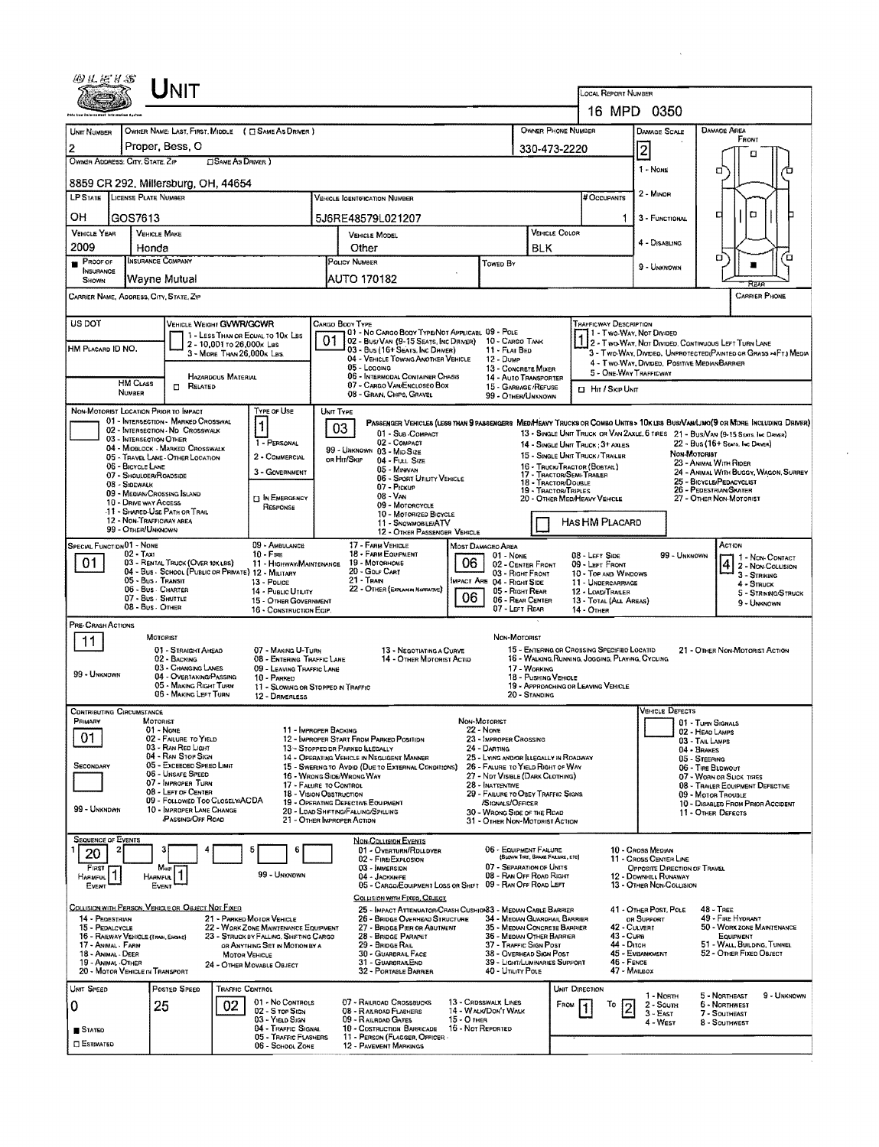|                                                                                                                                                                                                                                        |                                                                                                                                 | Unit                                                                    |                            |                                                                          |               |                                                                                                                                 |              |                                                                       |                                                 | LOCAL REPORT NUMBER                                              |                                                       |                                                                                                                               |  |  |  |
|----------------------------------------------------------------------------------------------------------------------------------------------------------------------------------------------------------------------------------------|---------------------------------------------------------------------------------------------------------------------------------|-------------------------------------------------------------------------|----------------------------|--------------------------------------------------------------------------|---------------|---------------------------------------------------------------------------------------------------------------------------------|--------------|-----------------------------------------------------------------------|-------------------------------------------------|------------------------------------------------------------------|-------------------------------------------------------|-------------------------------------------------------------------------------------------------------------------------------|--|--|--|
|                                                                                                                                                                                                                                        |                                                                                                                                 |                                                                         |                            |                                                                          |               |                                                                                                                                 |              |                                                                       |                                                 |                                                                  | 16 MPD 0350                                           |                                                                                                                               |  |  |  |
| OWNER PHONE NUMBER<br>OWNER NAME: LAST, FIRST, MIDDLE ( C) SAME AS DRIVER )<br>UNIT NUMBER                                                                                                                                             |                                                                                                                                 |                                                                         |                            |                                                                          |               |                                                                                                                                 |              |                                                                       |                                                 |                                                                  | <b>DAMAGE SCALE</b>                                   | <b>DAMAGE AREA</b>                                                                                                            |  |  |  |
| Proper, Bess, O<br>$\overline{2}$                                                                                                                                                                                                      |                                                                                                                                 |                                                                         |                            |                                                                          |               |                                                                                                                                 |              |                                                                       | 330-473-2220                                    |                                                                  | $\overline{2}$                                        | FRONT                                                                                                                         |  |  |  |
| OWNER ADDRESS: CITY, STATE, ZIP<br><b>CISAME AS DRIVER</b> )                                                                                                                                                                           |                                                                                                                                 |                                                                         |                            |                                                                          |               |                                                                                                                                 |              |                                                                       |                                                 |                                                                  | $1 - None$                                            | о<br>σ                                                                                                                        |  |  |  |
| 8859 CR 292, Millersburg, OH, 44654                                                                                                                                                                                                    |                                                                                                                                 |                                                                         |                            |                                                                          |               |                                                                                                                                 |              |                                                                       |                                                 |                                                                  |                                                       |                                                                                                                               |  |  |  |
| <b>LP STATE</b> LICENSE PLATE NUMBER                                                                                                                                                                                                   |                                                                                                                                 |                                                                         |                            |                                                                          |               | <b>VEHICLE IGENTIFICATION NUMBER</b>                                                                                            |              |                                                                       |                                                 | # Occupants                                                      | 2 - Minor                                             |                                                                                                                               |  |  |  |
| OН                                                                                                                                                                                                                                     | GOS7613                                                                                                                         |                                                                         |                            |                                                                          |               | 5J6RE48579L021207                                                                                                               |              |                                                                       |                                                 | -1                                                               | 3 - FUNCTIONAL                                        | $\Box$<br>о                                                                                                                   |  |  |  |
| <b>VEHICLE YEAR</b>                                                                                                                                                                                                                    |                                                                                                                                 | <b>VEHICLE MAKE</b>                                                     |                            |                                                                          |               | <b>VEHICLE MODEL</b>                                                                                                            |              |                                                                       | VEHICLE COLOR                                   |                                                                  |                                                       |                                                                                                                               |  |  |  |
| 2009                                                                                                                                                                                                                                   | Honda                                                                                                                           |                                                                         |                            |                                                                          | Other         |                                                                                                                                 |              |                                                                       | <b>BLK</b>                                      |                                                                  | 4 - DISABLING                                         |                                                                                                                               |  |  |  |
| $P$ ROOF OF<br><b>INSURANCE</b>                                                                                                                                                                                                        |                                                                                                                                 | INSURANCE COMPANY                                                       |                            |                                                                          | POLICY NUMBER |                                                                                                                                 |              | <b>TOWED BY</b>                                                       |                                                 |                                                                  | 9 - UNKNOWN                                           | о<br>΄Ο                                                                                                                       |  |  |  |
| SHOWN                                                                                                                                                                                                                                  |                                                                                                                                 | Wavne Mutual                                                            |                            |                                                                          | AUTO 170182   |                                                                                                                                 |              |                                                                       |                                                 |                                                                  |                                                       |                                                                                                                               |  |  |  |
| <b>CARRIER PHONE</b><br>CARRIER NAME, ADDRESS, CITY, STATE, ZIP                                                                                                                                                                        |                                                                                                                                 |                                                                         |                            |                                                                          |               |                                                                                                                                 |              |                                                                       |                                                 |                                                                  |                                                       |                                                                                                                               |  |  |  |
| US DOT<br>VEHICLE WEIGHT GWWR/GCWR<br><b>TRAFFICWAY DESCRIPTION</b><br>CARGO BOOY TYPE                                                                                                                                                 |                                                                                                                                 |                                                                         |                            |                                                                          |               |                                                                                                                                 |              |                                                                       |                                                 |                                                                  |                                                       |                                                                                                                               |  |  |  |
|                                                                                                                                                                                                                                        |                                                                                                                                 |                                                                         | 2 - 10,001 то 26,000к Las  | 1 - LESS THAN OR EQUAL TO 10K LBS                                        | 01            | 01 - No CARGO BOOY TYPE/NOT APPLICABL 09 - POLE<br>02 - Busi Van (9-15 Seats, Inc Driver)                                       |              | 10 - Cargo Tank                                                       |                                                 |                                                                  |                                                       | 1 1 - Two-Way, Not Divided<br>1 2 - Two-Way, Not Divided, Continuous Left Turn Lane                                           |  |  |  |
| HM PLACARD ID NO.                                                                                                                                                                                                                      |                                                                                                                                 |                                                                         | 3 - MORE THAN 26,000K LBS. |                                                                          |               | 03 - Bus (16+ Seats, Inc DRIVER)<br>04 - VEHICLE TOWING ANOTHER VEHICLE                                                         |              | 11 - FLAT BED<br>12 - Duwe                                            |                                                 | 3 - Two Way, Divideo, Unprotected (Painted or Grass >4Ft.) Media |                                                       |                                                                                                                               |  |  |  |
|                                                                                                                                                                                                                                        |                                                                                                                                 |                                                                         | <b>HAZARDOUS MATERIAL</b>  |                                                                          |               | 05 - Logging<br>06 - INTERMODAL CONTAINER CHASIS                                                                                |              | 13 - CONCRETE MIXER                                                   |                                                 | 5 - ONE-WAY TRAFFICWAY                                           | 4 - Two-Way, Divided. Positive Median Barrier         |                                                                                                                               |  |  |  |
|                                                                                                                                                                                                                                        | <b>HM CLASS</b><br>NUMBER                                                                                                       | $\Box$ Related                                                          |                            |                                                                          |               | 14 - AUTO TRANSPORTER<br>07 - CARGO VAN ENCLOSEO BOX<br>15 - GARBAGE /REFUSE<br>08 - GRAN, CHIPS, GRAVEL<br>99 - OTHER/LINKNOWN |              |                                                                       |                                                 |                                                                  | <b>D</b> HIT / SKIP UNIT                              |                                                                                                                               |  |  |  |
| NON-MOTORIST LOCATION PRIOR TO IMPACT                                                                                                                                                                                                  |                                                                                                                                 |                                                                         |                            | TYPE OF USE                                                              |               | UNIT TYPE                                                                                                                       |              |                                                                       |                                                 |                                                                  |                                                       |                                                                                                                               |  |  |  |
|                                                                                                                                                                                                                                        |                                                                                                                                 | 01 - INTERSECTION - MARKED CROSSWAL<br>02 - INTERSECTION - ND CROSSWALK |                            | $\mathbf{1}$                                                             |               | 03                                                                                                                              |              |                                                                       |                                                 |                                                                  |                                                       | PASSENGER VEHICLES (LESS THAN 9 PASSENGERS MEDIHEANY TRUCKS OR COMBO UNITS > 10K LES BUS/VAN/LIMO(9 OR MORE INCLUDING DRIVER) |  |  |  |
|                                                                                                                                                                                                                                        | 03 - INTERSECTION OTHER                                                                                                         | 04 - MIDBLOCK - MARKED CROSSWALK                                        |                            | 1 - PERSONAL                                                             |               | 01 - Sub COMPACT<br>02 - COMPACT                                                                                                |              |                                                                       |                                                 | 14 - SINGLE UNIT TRUCK: 3+ AXLES                                 |                                                       | 13 - SINGLE UNIT TRUCK OR VAN 2AXLE, 6 TIRES 21 - BUS/VAN (9-15 SEATS. INC DRIVER)<br>22 - Bus (16+ Seats, Inc Driver)        |  |  |  |
|                                                                                                                                                                                                                                        |                                                                                                                                 | 05 - TRAVEL LANE - OTHER LOCATION                                       |                            | 2 - COMMERCIAL                                                           |               | 99 - UNKNOWN 03 - MID SIZE<br>ов Ни/Sки<br>04 - FULL SIZE                                                                       |              |                                                                       |                                                 | 15 - SINGLE UNIT TRUCK/TRAILER                                   | Non-Motoriet                                          | 23 - ANIMAL WITH RIDER                                                                                                        |  |  |  |
|                                                                                                                                                                                                                                        | 06 - BICYCLE LANE<br>07 - SHOULOER/ROADSIDE                                                                                     |                                                                         |                            | 3 - GOVERNMENT                                                           |               | 05 - Minivan<br>06 - SPORT UTILITY VEHICLE                                                                                      |              |                                                                       | 17 - TRACTOR/SEMI-TRABER<br>18 - TRACTOR/DOUBLE | 16 - TRUCK/TRACTOR (BOBTAL)                                      |                                                       | 24 - ANIMAL WITH BUGGY, WAGON, SURREY<br>25 - BICYCLE/PEDACYCLIST                                                             |  |  |  |
|                                                                                                                                                                                                                                        | 08 - S:DEWALK                                                                                                                   | 09 - MEDIAN/CROSSING ISLAND                                             |                            | <b>IN EMERGENCY</b>                                                      |               | 07 - Pickup<br>08 VAN                                                                                                           |              |                                                                       | 19 - TRACTOR/TRIPLES                            | 20 - OTHER MEDIHEAVY VEHICLE                                     |                                                       | 26 - PEDESTRIAN/SKATER<br>27 - OTHER NON-MOTORIST                                                                             |  |  |  |
|                                                                                                                                                                                                                                        | 10 - DRIVE WAY ACCESS                                                                                                           | 11 - SHARED-USE PATH OR TRAIL                                           |                            | RESPONSE                                                                 |               | 09 - MOTORCYCLE<br>10 - MOTORIZED BICYCLE                                                                                       |              |                                                                       |                                                 |                                                                  |                                                       |                                                                                                                               |  |  |  |
|                                                                                                                                                                                                                                        | 12 - NON-TRAFFICWAY AREA<br>99 - OTHER/UNKNOWN                                                                                  |                                                                         |                            |                                                                          |               | 11 - SNOVANOBILE/ATV<br>12 - OTHER PASSENGER VEHICLE                                                                            |              |                                                                       |                                                 | HAS HM PLACARD                                                   |                                                       |                                                                                                                               |  |  |  |
| SPECIAL FUNCTION 01 - NONE                                                                                                                                                                                                             | $02 - TAX1$                                                                                                                     |                                                                         |                            | 09 - AMBULANCE<br>$10 - F$ RE                                            |               | 17 - FARM VEHICLE<br>18 - FARM EQUIPMENT                                                                                        |              | Most Damageo Area                                                     |                                                 |                                                                  |                                                       | ACTION                                                                                                                        |  |  |  |
| 08 - LEFT SIDE<br>99 - UNKNOWN<br>01 NONE<br>06<br>01.<br>03 - RENTAL TRUCK (OVER 10X LBS)<br>19 - Мотовноме<br>11 - HIGHWAY/MAINTENANCE<br>02 - CENTER FRONT<br>09 - LEFT FROM<br>04 - Bus - School (Public or Private) 12 - Military |                                                                                                                                 |                                                                         |                            |                                                                          |               |                                                                                                                                 |              |                                                                       | 1 - Non-Contact<br>$42 -$ Non-Collision         |                                                                  |                                                       |                                                                                                                               |  |  |  |
|                                                                                                                                                                                                                                        | 05 - Bus - Transit                                                                                                              |                                                                         |                            | 13 - Pouce                                                               |               | 20 - GOLF CART<br>21 TRAN                                                                                                       |              | 03 - Right Front<br>IMPACT ARE 04 - RIGHT SIDE                        |                                                 | 10 - TOP AND WINDOWS<br>11 - UNDERCARRIAGE                       |                                                       | 4 - STRUCK                                                                                                                    |  |  |  |
| 22 - OTHER (EXPLANTA NARRATIVE)<br>06 - Bus - Charter<br>05 - RIGHT REAR<br>14 - PUBLIC UTILITY<br>12 - LOAD/TRAILER<br>06<br>07 - Bus - Shuttle<br>06 - REAR CENTER<br>15 - OTHER GOVERNMENT<br>13 - TOTAL (ALL AREAS)                |                                                                                                                                 |                                                                         |                            |                                                                          |               |                                                                                                                                 |              |                                                                       | 5 - STRIKNG/STRUCK<br>9 - UNKNOWN               |                                                                  |                                                       |                                                                                                                               |  |  |  |
|                                                                                                                                                                                                                                        | 08 - Bus - OTHER                                                                                                                |                                                                         |                            | 16 - CONSTRUCTION EQIP.                                                  |               |                                                                                                                                 |              | 07 - LEFT REAR                                                        |                                                 | 14 - OTHER                                                       |                                                       |                                                                                                                               |  |  |  |
| PRE-CRASH ACTIONS                                                                                                                                                                                                                      |                                                                                                                                 | MOTORIST                                                                |                            |                                                                          |               |                                                                                                                                 |              | NON-MOTORIST                                                          |                                                 |                                                                  |                                                       |                                                                                                                               |  |  |  |
|                                                                                                                                                                                                                                        |                                                                                                                                 | 01 - STRAIGHT AHEAD                                                     |                            | 07 - MAKING U-TURN                                                       |               | 13 - NEGOTIATING A CURVE                                                                                                        |              |                                                                       |                                                 | 15 - ENTERING OR CROSSING SPECIFIED LOCATID                      |                                                       | 21 - OTHER NON-MOTORIST ACTION                                                                                                |  |  |  |
| 99 - UNKNOWN                                                                                                                                                                                                                           |                                                                                                                                 | 02 - BACKING<br>03 - CHANGING LANES                                     |                            | 08 - ENTERING TRAFFIC LANE<br>09 - LEAVING TRAFFIC LANE                  |               | 14 - OTHER MOTORIST ACTIO                                                                                                       |              |                                                                       | 17 - WORKING                                    | 16 - WALKING, RUNNING, JOGGING, PLAYING, CYCLING                 |                                                       |                                                                                                                               |  |  |  |
|                                                                                                                                                                                                                                        |                                                                                                                                 | 04 - OVERTAKING/PASSING<br>05 - MAKING RIGHT TURN                       |                            | 10 - PARKED<br>11 - SLOWING OR STOPPED IN TRAFFIC                        |               |                                                                                                                                 |              |                                                                       | 18 - PUSHING VEHICLE                            | 19 - APPROACHING OR LEAVING VEHICLE                              |                                                       |                                                                                                                               |  |  |  |
|                                                                                                                                                                                                                                        |                                                                                                                                 | 06 - MAKING LEFT TURN                                                   |                            | 12 - DRIVERLESS                                                          |               |                                                                                                                                 |              |                                                                       | 20 - STANDING                                   |                                                                  |                                                       |                                                                                                                               |  |  |  |
| <b>CONTRIBUTING CIRCUMSTANCE</b><br>Primary                                                                                                                                                                                            |                                                                                                                                 | MOTORIST                                                                |                            |                                                                          |               |                                                                                                                                 | NON-MOTORIST |                                                                       |                                                 |                                                                  | <b>VEHICLE DEFECTS</b>                                | 01 - TURN SIGNALS                                                                                                             |  |  |  |
| 01                                                                                                                                                                                                                                     |                                                                                                                                 | 01 - None<br>02 - FAILURE TO YIELD                                      |                            | 11 - IMPROPER BACKING                                                    |               | 12 - IMPROPER START FROM PARKED POSITION                                                                                        |              | 22 - NONE<br>23 - IMPROPER CROSSING                                   |                                                 |                                                                  |                                                       | 02 - HEAD LAMPS<br>03 - TAIL LAMPS                                                                                            |  |  |  |
|                                                                                                                                                                                                                                        |                                                                                                                                 | 03 - RAN RED LIGHT<br>04 - RAN STOP SIGN                                |                            |                                                                          |               | 13 - STOPPED DR PARKED ILLEGALLY<br>14 - OPERATING VEHICLE IN NEGLIGENT MANNER                                                  |              | 24 - DARTING<br>25 - LYING AND/OR ILLEGALLY IN ROADWAY                |                                                 |                                                                  |                                                       | 04 - BRAKES<br>05 - STEERING                                                                                                  |  |  |  |
| <b>SECONDARY</b>                                                                                                                                                                                                                       |                                                                                                                                 | 05 - Exceeded Speed Limit<br>06 - UNSAFE SPEED                          |                            |                                                                          |               | 15 - SWERING TO AVDID (DUE TO EXTERNAL CONDITIONS)<br>16 - Wrong Side/Wrong Way                                                 |              | 26 - FALURE TO YIELD RIGHT OF WAY<br>27 - NDT VISIBLE (DARK CLOTHING) |                                                 |                                                                  |                                                       | 06 - Tine BLOWOUT                                                                                                             |  |  |  |
|                                                                                                                                                                                                                                        |                                                                                                                                 | 07 - IMPROPER TURN<br>08 - LEFT OF CENTER                               |                            | 17 - FALURE TO CONTROL<br>18 - VISION OBSTRUCTION                        |               |                                                                                                                                 |              | 28 - INATTENTIVE<br>29 - FAILURE TO OBEY TRAFFIC SIGNS                |                                                 |                                                                  |                                                       | 07 - WORN OR SLICK TIRES<br>08 - TRAILER EQUIPMENT DEFECTIVE                                                                  |  |  |  |
| 99 - UNKNOWN                                                                                                                                                                                                                           |                                                                                                                                 | 09 - Followed Too CloselwACDA<br>10 - IMPROPER LANE CHANGE              |                            |                                                                          |               | 19 - OPERATING DEFECTIVE EQUIPMENT                                                                                              |              | /SIGNALS/OFFICER<br>30 - WRONG SIDE OF THE ROAD                       |                                                 |                                                                  |                                                       | 09 - MOTOR TROUBLE<br>10 - DISABLED FROM PRIOR ACCIDENT                                                                       |  |  |  |
|                                                                                                                                                                                                                                        |                                                                                                                                 | <b>PASSING/OFF ROAD</b>                                                 |                            |                                                                          |               | 20 - LOAD SHETING/FALLING/SPILLING<br>21 - OTHER IMPROPER ACTION                                                                |              | 31 - OTHER NON-MOTORIST ACTION                                        |                                                 |                                                                  |                                                       | 11 - OTHER DEFECTS                                                                                                            |  |  |  |
| <b>SEQUENCE OF EVENTS</b>                                                                                                                                                                                                              |                                                                                                                                 |                                                                         |                            |                                                                          |               | NON-COLLISION EVENTS                                                                                                            |              |                                                                       |                                                 |                                                                  |                                                       |                                                                                                                               |  |  |  |
| 20                                                                                                                                                                                                                                     |                                                                                                                                 |                                                                         |                            | 5<br>6                                                                   |               | 01 - OVERTURN/ROLLDVER<br>02 - FIRE/EXPLOSION                                                                                   |              | 06 - EQUIPMENT FAILURE                                                | (BLOWN TIRE, BRAKE FAILURE, ETC)                |                                                                  | 10 - Cross Median<br>11 - Cross Center Line           |                                                                                                                               |  |  |  |
| FIRST<br>Harmful                                                                                                                                                                                                                       |                                                                                                                                 | Most<br><b>HARMFUL</b>                                                  |                            | 99 - UNKNOWN                                                             |               | 03 - MMERSION<br>04 - Jackknife                                                                                                 |              | 07 - SEPARATION OF UNITS<br>08 - RAN OFF ROAD RIGHT                   |                                                 |                                                                  | OPPOSITE DIRECTION OF TRAVEL<br>12 - DOWNHILL RUNAWAY |                                                                                                                               |  |  |  |
| EVENT                                                                                                                                                                                                                                  |                                                                                                                                 | EVENT                                                                   |                            |                                                                          |               | 05 - CARGO/EQUIPMENT LOSS OR SHIFT 09 - RAN OFF ROAD LEFT                                                                       |              |                                                                       |                                                 |                                                                  | 13 - OTHER NON-COLLISION                              |                                                                                                                               |  |  |  |
|                                                                                                                                                                                                                                        |                                                                                                                                 | COLLISION WITH PERSON, VEHICLE OR OBJECT NOT FIXED                      |                            |                                                                          |               | COLLISION WITH FIXED, OBJECT<br>25 - IMPACT ATTENUATOR/CRASH CUSHIONS3 - MEDIAN CABLE BARRIER                                   |              |                                                                       |                                                 |                                                                  | 41 - OTHER POST, POLE                                 | $48 -$ TREE                                                                                                                   |  |  |  |
| 14 - PEDESTRIAN<br>15 - PEDALCYCLE                                                                                                                                                                                                     |                                                                                                                                 |                                                                         |                            | 21 - PARKED MOTOR VEHICLE<br>22 - WORK ZONE MAINTENANCE EQUIPMENT        |               | 26 - BRIDGE OVERHEAD STRUCTURE<br>27 - BRIDGE PIER OR ABUTMENT                                                                  |              | 34 - Median Guardrail Barrier<br>35 - MEDIAN CONCRETE BARRIER         |                                                 | 42 - CULVERT                                                     | OR SUPPORT                                            | 49 - FIRE HYDRANT<br>50 - WORK ZONE MAINTENANCE                                                                               |  |  |  |
| 16 - RAILWAY VEHICLE (TRAN, ENGINE)<br>17 - ANWAL - FARM                                                                                                                                                                               |                                                                                                                                 |                                                                         |                            | 23 - STRUCK BY FALLING, SHIFTING CARGO<br>OR ANYTHING SET IN MOTION BY A |               | 28 - BRIDGE PARAPET<br>29 - BRIDGE RAIL                                                                                         |              | 36 - MEDIAN OTHER BARRIER<br>37 - TRAFFIC SIGN POST                   |                                                 | 43 - Cum<br>44 - Опси                                            |                                                       | EQUIPMENT<br>51 - WALL, BUILDING, TUNNEL                                                                                      |  |  |  |
| 18 - ANIMAL - DEER<br>19 - ANIMAL -OTHER                                                                                                                                                                                               |                                                                                                                                 |                                                                         | <b>MOTOR VEHICLE</b>       | 24 - OTHER MOVABLE OBJECT                                                |               | 30 - GUARDRAIL FACE<br>31 - GUARDRANEND                                                                                         |              | 38 - OVERHEAD SIGN POST<br>39 - LIGHT/LUMINARIES SUPPORT              |                                                 | $46 -$ FENCE                                                     | 45 - EMBANKMENT                                       | 52 - OTHER FIXED OBJECT                                                                                                       |  |  |  |
| 20 - MOTOR VEHICLE IN TRANSPORT                                                                                                                                                                                                        |                                                                                                                                 |                                                                         |                            |                                                                          |               | 32 - PORTABLE BARRIER                                                                                                           |              | 40 - UTILITY POLE                                                     |                                                 | 47 - Mailbox                                                     |                                                       |                                                                                                                               |  |  |  |
| UNIT SPEED                                                                                                                                                                                                                             |                                                                                                                                 | POSTED SPEED                                                            | <b>TRAFFIC CONTROL</b>     |                                                                          |               |                                                                                                                                 |              |                                                                       |                                                 | UNIT DIRECTION                                                   | 1 - North                                             | 9 - UNKNOWN<br>5 - Northeast                                                                                                  |  |  |  |
| 0                                                                                                                                                                                                                                      |                                                                                                                                 | 25                                                                      | 02                         | 01 - No CONTROLS<br>02 - S TOP SIGN                                      |               | 07 - RAILROAD CROSSBUCKS<br>08 - RALROAD FLASHERS                                                                               |              | 13 - CRDSSWALK LINES<br>14 - WALK/DON'T WALK                          | Face                                            | 10                                                               | $2 -$ South<br>$3 - E$ AST                            | 6 - NORTHWEST<br>7 - SOUTHEAST                                                                                                |  |  |  |
| <b>STATED</b>                                                                                                                                                                                                                          | 15 - О тнея<br>03 - YIELD SIGN<br>09 - RAILROAD GATES<br>10 - COSTRUCTION BARRICADE<br>16 - Not Reported<br>04 - Traffic Signal |                                                                         |                            |                                                                          |               |                                                                                                                                 |              |                                                                       | 4 - West                                        | 8 - Southwest                                                    |                                                       |                                                                                                                               |  |  |  |
| <b>D</b> ESTIMATED                                                                                                                                                                                                                     |                                                                                                                                 |                                                                         |                            | 05 - TRAFFIC FLASHERS<br>06 - SCHOOL ZONE                                |               | 11 - PERSON (FLAGGER, OFFICER<br><b>12 - PAVEMENT MARKINGS</b>                                                                  |              |                                                                       |                                                 |                                                                  |                                                       |                                                                                                                               |  |  |  |
|                                                                                                                                                                                                                                        |                                                                                                                                 |                                                                         |                            |                                                                          |               |                                                                                                                                 |              |                                                                       |                                                 |                                                                  |                                                       |                                                                                                                               |  |  |  |

 $\label{eq:1} \mathcal{L}_{\text{max}}(\mathbf{x}) = \mathcal{L}_{\text{max}}(\mathbf{x})$ 

 $\sim 10^{-10}$